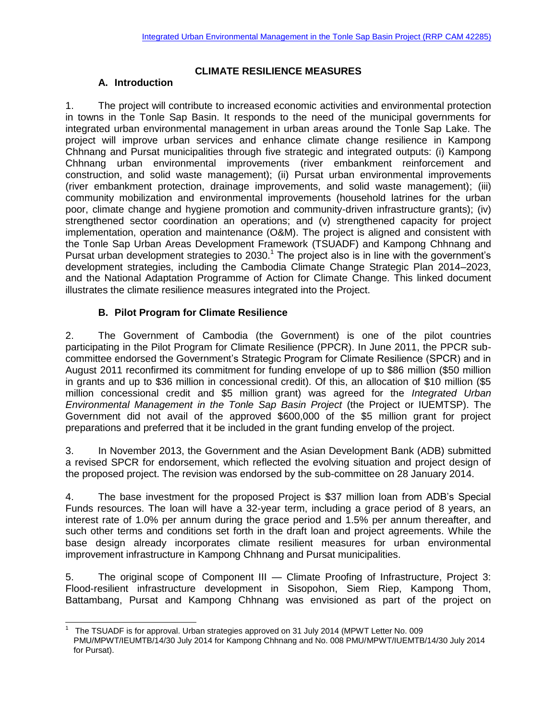### **CLIMATE RESILIENCE MEASURES**

### **A. Introduction**

1. The project will contribute to increased economic activities and environmental protection in towns in the Tonle Sap Basin. It responds to the need of the municipal governments for integrated urban environmental management in urban areas around the Tonle Sap Lake. The project will improve urban services and enhance climate change resilience in Kampong Chhnang and Pursat municipalities through five strategic and integrated outputs: (i) Kampong Chhnang urban environmental improvements (river embankment reinforcement and construction, and solid waste management); (ii) Pursat urban environmental improvements (river embankment protection, drainage improvements, and solid waste management); (iii) community mobilization and environmental improvements (household latrines for the urban poor, climate change and hygiene promotion and community-driven infrastructure grants); (iv) strengthened sector coordination an operations; and (v) strengthened capacity for project implementation, operation and maintenance (O&M). The project is aligned and consistent with the Tonle Sap Urban Areas Development Framework (TSUADF) and Kampong Chhnang and Pursat urban development strategies to 2030.<sup>1</sup> The project also is in line with the government's development strategies, including the Cambodia Climate Change Strategic Plan 2014–2023, and the National Adaptation Programme of Action for Climate Change. This linked document illustrates the climate resilience measures integrated into the Project.

# **B. Pilot Program for Climate Resilience**

2. The Government of Cambodia (the Government) is one of the pilot countries participating in the Pilot Program for Climate Resilience (PPCR). In June 2011, the PPCR subcommittee endorsed the Government's Strategic Program for Climate Resilience (SPCR) and in August 2011 reconfirmed its commitment for funding envelope of up to \$86 million (\$50 million in grants and up to \$36 million in concessional credit). Of this, an allocation of \$10 million (\$5 million concessional credit and \$5 million grant) was agreed for the *Integrated Urban Environmental Management in the Tonle Sap Basin Project* (the Project or IUEMTSP). The Government did not avail of the approved \$600,000 of the \$5 million grant for project preparations and preferred that it be included in the grant funding envelop of the project.

3. In November 2013, the Government and the Asian Development Bank (ADB) submitted a revised SPCR for endorsement, which reflected the evolving situation and project design of the proposed project. The revision was endorsed by the sub-committee on 28 January 2014.

4. The base investment for the proposed Project is \$37 million loan from ADB's Special Funds resources. The loan will have a 32-year term, including a grace period of 8 years, an interest rate of 1.0% per annum during the grace period and 1.5% per annum thereafter, and such other terms and conditions set forth in the draft loan and project agreements. While the base design already incorporates climate resilient measures for urban environmental improvement infrastructure in Kampong Chhnang and Pursat municipalities.

5. The original scope of Component III — Climate Proofing of Infrastructure, Project 3: Flood-resilient infrastructure development in Sisopohon, Siem Riep, Kampong Thom, Battambang, Pursat and Kampong Chhnang was envisioned as part of the project on

l 1 The TSUADF is for approval. Urban strategies approved on 31 July 2014 (MPWT Letter No. 009 PMU/MPWT/IEUMTB/14/30 July 2014 for Kampong Chhnang and No. 008 PMU/MPWT/IUEMTB/14/30 July 2014 for Pursat).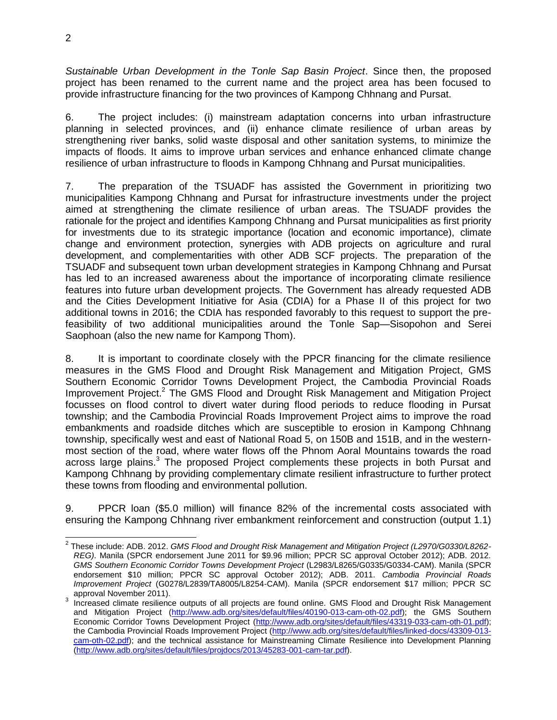*Sustainable Urban Development in the Tonle Sap Basin Project*. Since then, the proposed project has been renamed to the current name and the project area has been focused to provide infrastructure financing for the two provinces of Kampong Chhnang and Pursat.

6. The project includes: (i) mainstream adaptation concerns into urban infrastructure planning in selected provinces, and (ii) enhance climate resilience of urban areas by strengthening river banks, solid waste disposal and other sanitation systems, to minimize the impacts of floods. It aims to improve urban services and enhance enhanced climate change resilience of urban infrastructure to floods in Kampong Chhnang and Pursat municipalities.

7. The preparation of the TSUADF has assisted the Government in prioritizing two municipalities Kampong Chhnang and Pursat for infrastructure investments under the project aimed at strengthening the climate resilience of urban areas. The TSUADF provides the rationale for the project and identifies Kampong Chhnang and Pursat municipalities as first priority for investments due to its strategic importance (location and economic importance), climate change and environment protection, synergies with ADB projects on agriculture and rural development, and complementarities with other ADB SCF projects. The preparation of the TSUADF and subsequent town urban development strategies in Kampong Chhnang and Pursat has led to an increased awareness about the importance of incorporating climate resilience features into future urban development projects. The Government has already requested ADB and the Cities Development Initiative for Asia (CDIA) for a Phase II of this project for two additional towns in 2016; the CDIA has responded favorably to this request to support the prefeasibility of two additional municipalities around the Tonle Sap—Sisopohon and Serei Saophoan (also the new name for Kampong Thom).

8. It is important to coordinate closely with the PPCR financing for the climate resilience measures in the GMS Flood and Drought Risk Management and Mitigation Project, GMS Southern Economic Corridor Towns Development Project, the Cambodia Provincial Roads Improvement Project.<sup>2</sup> The GMS Flood and Drought Risk Management and Mitigation Project focusses on flood control to divert water during flood periods to reduce flooding in Pursat township; and the Cambodia Provincial Roads Improvement Project aims to improve the road embankments and roadside ditches which are susceptible to erosion in Kampong Chhnang township, specifically west and east of National Road 5, on 150B and 151B, and in the westernmost section of the road, where water flows off the Phnom Aoral Mountains towards the road across large plains.<sup>3</sup> The proposed Project complements these projects in both Pursat and Kampong Chhnang by providing complementary climate resilient infrastructure to further protect these towns from flooding and environmental pollution.

9. PPCR loan (\$5.0 million) will finance 82% of the incremental costs associated with ensuring the Kampong Chhnang river embankment reinforcement and construction (output 1.1)

 2 These include: ADB. 2012. *GMS Flood and Drought Risk Management and Mitigation Project (L2970/G0330/L8262- REG)*. Manila (SPCR endorsement June 2011 for \$9.96 million; PPCR SC approval October 2012); ADB. 2012. *GMS Southern Economic Corridor Towns Development Project* (L2983/L8265/G0335/G0334-CAM). Manila (SPCR endorsement \$10 million; PPCR SC approval October 2012); ADB. 2011. *Cambodia Provincial Roads Improvement Project* (G0278/L2839/TA8005/L8254-CAM). Manila (SPCR endorsement \$17 million; PPCR SC approval November 2011).

 $3$  Increased climate resilience outputs of all projects are found online. GMS Flood and Drought Risk Management and Mitigation Project [\(http://www.adb.org/sites/default/files/40190-013-cam-oth-02.pdf\)](http://www.adb.org/sites/default/files/40190-013-cam-oth-02.pdf); the GMS Southern Economic Corridor Towns Development Project [\(http://www.adb.org/sites/default/files/43319-033-cam-oth-01.pdf\)](http://www.adb.org/sites/default/files/43319-033-cam-oth-01.pdf); the Cambodia Provincial Roads Improvement Project [\(http://www.adb.org/sites/default/files/linked-docs/43309-013](http://www.adb.org/sites/default/files/linked-docs/43309-013-cam-oth-02.pdf) [cam-oth-02.pdf\)](http://www.adb.org/sites/default/files/linked-docs/43309-013-cam-oth-02.pdf); and the technical assistance for Mainstreaming Climate Resilience into Development Planning [\(http://www.adb.org/sites/default/files/projdocs/2013/45283-001-cam-tar.pdf\)](http://www.adb.org/sites/default/files/projdocs/2013/45283-001-cam-tar.pdf).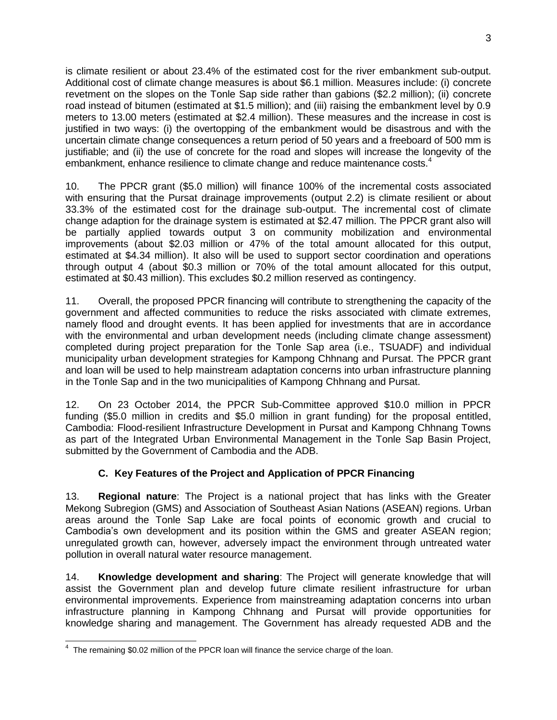is climate resilient or about 23.4% of the estimated cost for the river embankment sub-output. Additional cost of climate change measures is about \$6.1 million. Measures include: (i) concrete revetment on the slopes on the Tonle Sap side rather than gabions (\$2.2 million); (ii) concrete road instead of bitumen (estimated at \$1.5 million); and (iii) raising the embankment level by 0.9 meters to 13.00 meters (estimated at \$2.4 million). These measures and the increase in cost is justified in two ways: (i) the overtopping of the embankment would be disastrous and with the uncertain climate change consequences a return period of 50 years and a freeboard of 500 mm is justifiable; and (ii) the use of concrete for the road and slopes will increase the longevity of the embankment, enhance resilience to climate change and reduce maintenance costs.<sup>4</sup>

10. The PPCR grant (\$5.0 million) will finance 100% of the incremental costs associated with ensuring that the Pursat drainage improvements (output 2.2) is climate resilient or about 33.3% of the estimated cost for the drainage sub-output. The incremental cost of climate change adaption for the drainage system is estimated at \$2.47 million. The PPCR grant also will be partially applied towards output 3 on community mobilization and environmental improvements (about \$2.03 million or 47% of the total amount allocated for this output, estimated at \$4.34 million). It also will be used to support sector coordination and operations through output 4 (about \$0.3 million or 70% of the total amount allocated for this output, estimated at \$0.43 million). This excludes \$0.2 million reserved as contingency.

11. Overall, the proposed PPCR financing will contribute to strengthening the capacity of the government and affected communities to reduce the risks associated with climate extremes, namely flood and drought events. It has been applied for investments that are in accordance with the environmental and urban development needs (including climate change assessment) completed during project preparation for the Tonle Sap area (i.e., TSUADF) and individual municipality urban development strategies for Kampong Chhnang and Pursat. The PPCR grant and loan will be used to help mainstream adaptation concerns into urban infrastructure planning in the Tonle Sap and in the two municipalities of Kampong Chhnang and Pursat.

12. On 23 October 2014, the PPCR Sub-Committee approved \$10.0 million in PPCR funding (\$5.0 million in credits and \$5.0 million in grant funding) for the proposal entitled, Cambodia: Flood-resilient Infrastructure Development in Pursat and Kampong Chhnang Towns as part of the Integrated Urban Environmental Management in the Tonle Sap Basin Project, submitted by the Government of Cambodia and the ADB.

## **C. Key Features of the Project and Application of PPCR Financing**

13. **Regional nature**: The Project is a national project that has links with the Greater Mekong Subregion (GMS) and Association of Southeast Asian Nations (ASEAN) regions. Urban areas around the Tonle Sap Lake are focal points of economic growth and crucial to Cambodia's own development and its position within the GMS and greater ASEAN region; unregulated growth can, however, adversely impact the environment through untreated water pollution in overall natural water resource management.

14. **Knowledge development and sharing**: The Project will generate knowledge that will assist the Government plan and develop future climate resilient infrastructure for urban environmental improvements. Experience from mainstreaming adaptation concerns into urban infrastructure planning in Kampong Chhnang and Pursat will provide opportunities for knowledge sharing and management. The Government has already requested ADB and the

 4 The remaining \$0.02 million of the PPCR loan will finance the service charge of the loan.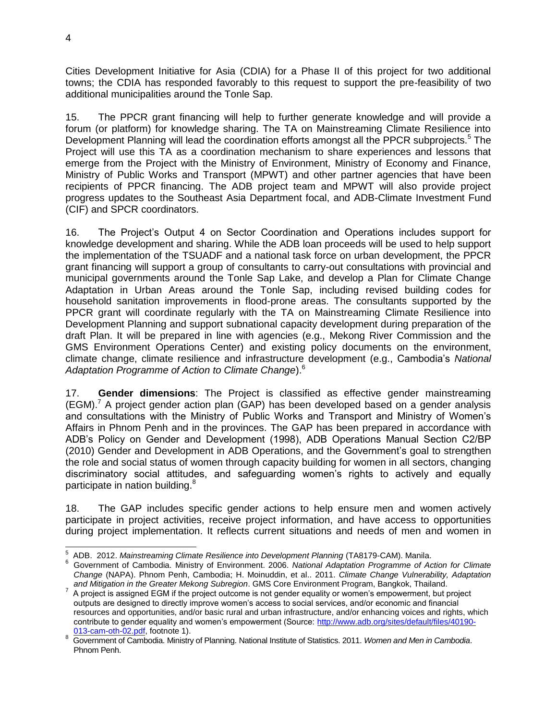Cities Development Initiative for Asia (CDIA) for a Phase II of this project for two additional towns; the CDIA has responded favorably to this request to support the pre-feasibility of two additional municipalities around the Tonle Sap.

15. The PPCR grant financing will help to further generate knowledge and will provide a forum (or platform) for knowledge sharing. The TA on Mainstreaming Climate Resilience into Development Planning will lead the coordination efforts amongst all the PPCR subprojects.<sup>5</sup> The Project will use this TA as a coordination mechanism to share experiences and lessons that emerge from the Project with the Ministry of Environment, Ministry of Economy and Finance, Ministry of Public Works and Transport (MPWT) and other partner agencies that have been recipients of PPCR financing. The ADB project team and MPWT will also provide project progress updates to the Southeast Asia Department focal, and ADB-Climate Investment Fund (CIF) and SPCR coordinators.

16. The Project's Output 4 on Sector Coordination and Operations includes support for knowledge development and sharing. While the ADB loan proceeds will be used to help support the implementation of the TSUADF and a national task force on urban development, the PPCR grant financing will support a group of consultants to carry-out consultations with provincial and municipal governments around the Tonle Sap Lake, and develop a Plan for Climate Change Adaptation in Urban Areas around the Tonle Sap, including revised building codes for household sanitation improvements in flood-prone areas. The consultants supported by the PPCR grant will coordinate regularly with the TA on Mainstreaming Climate Resilience into Development Planning and support subnational capacity development during preparation of the draft Plan. It will be prepared in line with agencies (e.g., Mekong River Commission and the GMS Environment Operations Center) and existing policy documents on the environment, climate change, climate resilience and infrastructure development (e.g., Cambodia's *National Adaptation Programme of Action to Climate Change*).<sup>6</sup>

17. **Gender dimensions**: The Project is classified as effective gender mainstreaming  $(EGM)<sup>7</sup>$  A project gender action plan (GAP) has been developed based on a gender analysis and consultations with the Ministry of Public Works and Transport and Ministry of Women's Affairs in Phnom Penh and in the provinces. The GAP has been prepared in accordance with ADB's Policy on Gender and Development (1998), ADB Operations Manual Section C2/BP (2010) Gender and Development in ADB Operations, and the Government's goal to strengthen the role and social status of women through capacity building for women in all sectors, changing discriminatory social attitudes, and safeguarding women's rights to actively and equally participate in nation building.<sup>8</sup>

18. The GAP includes specific gender actions to help ensure men and women actively participate in project activities, receive project information, and have access to opportunities during project implementation. It reflects current situations and needs of men and women in

 5 ADB. 2012. *Mainstreaming Climate Resilience into Development Planning* (TA8179-CAM). Manila.

<sup>6</sup> Government of Cambodia. Ministry of Environment. 2006. *National Adaptation Programme of Action for Climate Change* (NAPA). Phnom Penh, Cambodia; H. Moinuddin, et al.. 2011. *Climate Change Vulnerability, Adaptation and Mitigation in the Greater Mekong Subregion*. GMS Core Environment Program, Bangkok, Thailand.

 $7$  A project is assigned EGM if the project outcome is not gender equality or women's empowerment, but project outputs are designed to directly improve women's access to social services, and/or economic and financial resources and opportunities, and/or basic rural and urban infrastructure, and/or enhancing voices and rights, which contribute to gender equality and women's empowerment (Source: [http://www.adb.org/sites/default/files/40190-](http://www.adb.org/sites/default/files/40190-013-cam-oth-02.pdf) [013-cam-oth-02.pdf,](http://www.adb.org/sites/default/files/40190-013-cam-oth-02.pdf) footnote 1).

<sup>8</sup> Government of Cambodia. Ministry of Planning. National Institute of Statistics. 2011. *Women and Men in Cambodia*. Phnom Penh.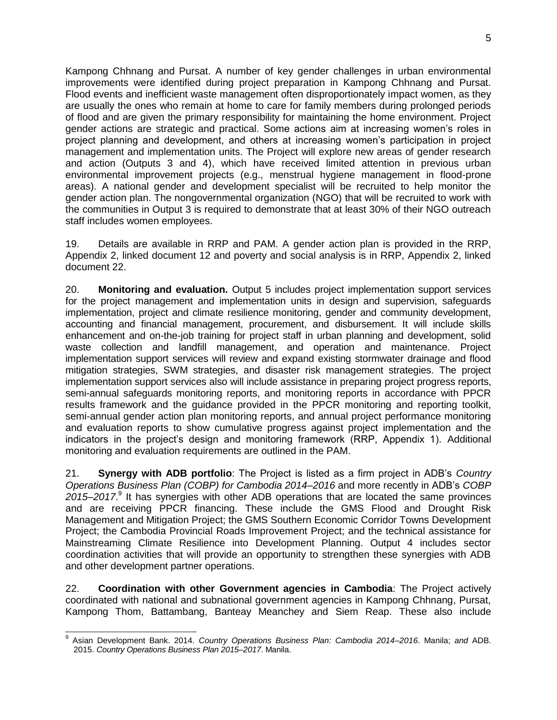Kampong Chhnang and Pursat. A number of key gender challenges in urban environmental improvements were identified during project preparation in Kampong Chhnang and Pursat. Flood events and inefficient waste management often disproportionately impact women, as they are usually the ones who remain at home to care for family members during prolonged periods of flood and are given the primary responsibility for maintaining the home environment. Project gender actions are strategic and practical. Some actions aim at increasing women's roles in project planning and development, and others at increasing women's participation in project management and implementation units. The Project will explore new areas of gender research and action (Outputs 3 and 4), which have received limited attention in previous urban environmental improvement projects (e.g., menstrual hygiene management in flood-prone areas). A national gender and development specialist will be recruited to help monitor the gender action plan. The nongovernmental organization (NGO) that will be recruited to work with the communities in Output 3 is required to demonstrate that at least 30% of their NGO outreach staff includes women employees.

19. Details are available in RRP and PAM. A gender action plan is provided in the RRP, Appendix 2, linked document 12 and poverty and social analysis is in RRP, Appendix 2, linked document 22.

20. **Monitoring and evaluation.** Output 5 includes project implementation support services for the project management and implementation units in design and supervision, safeguards implementation, project and climate resilience monitoring, gender and community development, accounting and financial management, procurement, and disbursement. It will include skills enhancement and on-the-job training for project staff in urban planning and development, solid waste collection and landfill management, and operation and maintenance. Project implementation support services will review and expand existing stormwater drainage and flood mitigation strategies, SWM strategies, and disaster risk management strategies. The project implementation support services also will include assistance in preparing project progress reports, semi-annual safeguards monitoring reports, and monitoring reports in accordance with PPCR results framework and the guidance provided in the PPCR monitoring and reporting toolkit, semi-annual gender action plan monitoring reports, and annual project performance monitoring and evaluation reports to show cumulative progress against project implementation and the indicators in the project's design and monitoring framework (RRP, Appendix 1). Additional monitoring and evaluation requirements are outlined in the PAM.

21. **Synergy with ADB portfolio**: The Project is listed as a firm project in ADB's *Country Operations Business Plan (COBP) for Cambodia 2014–2016* and more recently in ADB's *COBP*  2015–2017.<sup>9</sup> It has synergies with other ADB operations that are located the same provinces and are receiving PPCR financing. These include the GMS Flood and Drought Risk Management and Mitigation Project; the GMS Southern Economic Corridor Towns Development Project; the Cambodia Provincial Roads Improvement Project; and the technical assistance for Mainstreaming Climate Resilience into Development Planning. Output 4 includes sector coordination activities that will provide an opportunity to strengthen these synergies with ADB and other development partner operations.

22. **Coordination with other Government agencies in Cambodia**: The Project actively coordinated with national and subnational government agencies in Kampong Chhnang, Pursat, Kampong Thom, Battambang, Banteay Meanchey and Siem Reap. These also include

 9 Asian Development Bank. 2014. *Country Operations Business Plan: Cambodia 2014–2016*. Manila; *and* ADB. 2015. *Country Operations Business Plan 2015–2017*. Manila.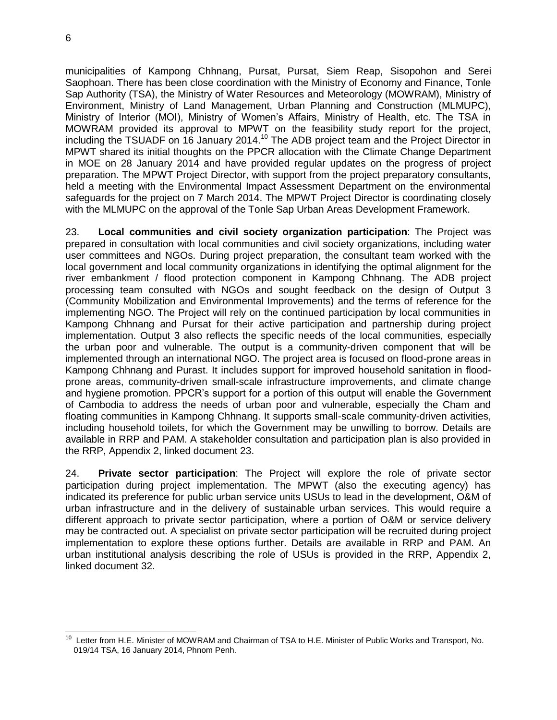municipalities of Kampong Chhnang, Pursat, Pursat, Siem Reap, Sisopohon and Serei Saophoan. There has been close coordination with the Ministry of Economy and Finance, Tonle Sap Authority (TSA), the Ministry of Water Resources and Meteorology (MOWRAM), Ministry of Environment, Ministry of Land Management, Urban Planning and Construction (MLMUPC), Ministry of Interior (MOI), Ministry of Women's Affairs, Ministry of Health, etc. The TSA in MOWRAM provided its approval to MPWT on the feasibility study report for the project, including the TSUADF on 16 January 2014.<sup>10</sup> The ADB project team and the Project Director in MPWT shared its initial thoughts on the PPCR allocation with the Climate Change Department in MOE on 28 January 2014 and have provided regular updates on the progress of project preparation. The MPWT Project Director, with support from the project preparatory consultants, held a meeting with the Environmental Impact Assessment Department on the environmental safeguards for the project on 7 March 2014. The MPWT Project Director is coordinating closely with the MLMUPC on the approval of the Tonle Sap Urban Areas Development Framework.

23. **Local communities and civil society organization participation**: The Project was prepared in consultation with local communities and civil society organizations, including water user committees and NGOs. During project preparation, the consultant team worked with the local government and local community organizations in identifying the optimal alignment for the river embankment / flood protection component in Kampong Chhnang. The ADB project processing team consulted with NGOs and sought feedback on the design of Output 3 (Community Mobilization and Environmental Improvements) and the terms of reference for the implementing NGO. The Project will rely on the continued participation by local communities in Kampong Chhnang and Pursat for their active participation and partnership during project implementation. Output 3 also reflects the specific needs of the local communities, especially the urban poor and vulnerable. The output is a community-driven component that will be implemented through an international NGO. The project area is focused on flood-prone areas in Kampong Chhnang and Purast. It includes support for improved household sanitation in floodprone areas, community-driven small-scale infrastructure improvements, and climate change and hygiene promotion. PPCR's support for a portion of this output will enable the Government of Cambodia to address the needs of urban poor and vulnerable, especially the Cham and floating communities in Kampong Chhnang. It supports small-scale community-driven activities, including household toilets, for which the Government may be unwilling to borrow. Details are available in RRP and PAM. A stakeholder consultation and participation plan is also provided in the RRP, Appendix 2, linked document 23.

24. **Private sector participation**: The Project will explore the role of private sector participation during project implementation. The MPWT (also the executing agency) has indicated its preference for public urban service units USUs to lead in the development, O&M of urban infrastructure and in the delivery of sustainable urban services. This would require a different approach to private sector participation, where a portion of O&M or service delivery may be contracted out. A specialist on private sector participation will be recruited during project implementation to explore these options further. Details are available in RRP and PAM. An urban institutional analysis describing the role of USUs is provided in the RRP, Appendix 2, linked document 32.

 $\frac{1}{10}$  Letter from H.E. Minister of MOWRAM and Chairman of TSA to H.E. Minister of Public Works and Transport, No. 019/14 TSA, 16 January 2014, Phnom Penh.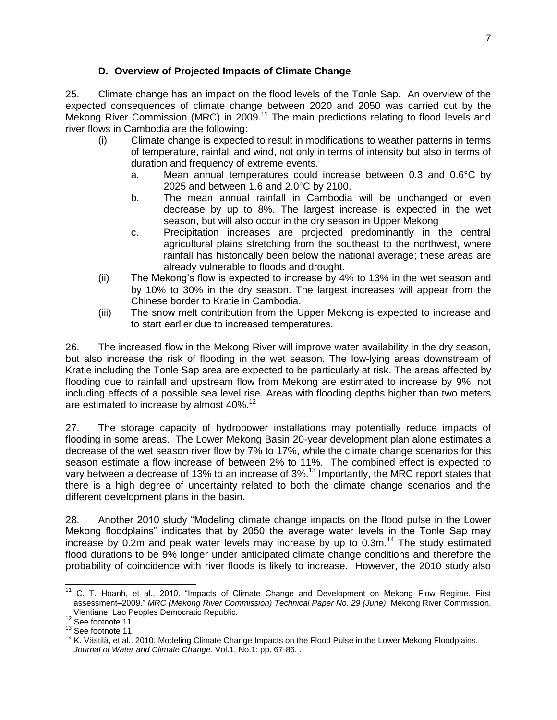### **D. Overview of Projected Impacts of Climate Change**

25. Climate change has an impact on the flood levels of the Tonle Sap. An overview of the expected consequences of climate change between 2020 and 2050 was carried out by the Mekong River Commission (MRC) in 2009.<sup>11</sup> The main predictions relating to flood levels and river flows in Cambodia are the following:

- (i) Climate change is expected to result in modifications to weather patterns in terms of temperature, rainfall and wind, not only in terms of intensity but also in terms of duration and frequency of extreme events.
	- a. Mean annual temperatures could increase between 0.3 and 0.6°C by 2025 and between 1.6 and 2.0°C by 2100.
	- b. The mean annual rainfall in Cambodia will be unchanged or even decrease by up to 8%. The largest increase is expected in the wet season, but will also occur in the dry season in Upper Mekong
	- c. Precipitation increases are projected predominantly in the central agricultural plains stretching from the southeast to the northwest, where rainfall has historically been below the national average; these areas are already vulnerable to floods and drought.
- (ii) The Mekong's flow is expected to increase by 4% to 13% in the wet season and by 10% to 30% in the dry season. The largest increases will appear from the Chinese border to Kratie in Cambodia.
- (iii) The snow melt contribution from the Upper Mekong is expected to increase and to start earlier due to increased temperatures.

26. The increased flow in the Mekong River will improve water availability in the dry season, but also increase the risk of flooding in the wet season. The low-lying areas downstream of Kratie including the Tonle Sap area are expected to be particularly at risk. The areas affected by flooding due to rainfall and upstream flow from Mekong are estimated to increase by 9%, not including effects of a possible sea level rise. Areas with flooding depths higher than two meters are estimated to increase by almost 40%.<sup>12</sup>

27. The storage capacity of hydropower installations may potentially reduce impacts of flooding in some areas. The Lower Mekong Basin 20-year development plan alone estimates a decrease of the wet season river flow by 7% to 17%, while the climate change scenarios for this season estimate a flow increase of between 2% to 11%. The combined effect is expected to vary between a decrease of 13% to an increase of 3%.<sup>13</sup> Importantly, the MRC report states that there is a high degree of uncertainty related to both the climate change scenarios and the different development plans in the basin.

28. Another 2010 study "Modeling climate change impacts on the flood pulse in the Lower Mekong floodplains" indicates that by 2050 the average water levels in the Tonle Sap may increase by 0.2m and peak water levels may increase by up to 0.3m.<sup>14</sup> The study estimated flood durations to be 9% longer under anticipated climate change conditions and therefore the probability of coincidence with river floods is likely to increase. However, the 2010 study also

l

 $11$  C. T. Hoanh, et al.. 2010. "Impacts of Climate Change and Development on Mekong Flow Regime. First assessment–2009." *MRC (Mekong River Commission) Technical Paper No. 29 (June)*. Mekong River Commission, Vientiane, Lao Peoples Democratic Republic.

<sup>12</sup> See footnote 11.

<sup>13</sup> See footnote 11.

<sup>&</sup>lt;sup>14</sup> K. Västilä, et al.. 2010. Modeling Climate Change Impacts on the Flood Pulse in the Lower Mekong Floodplains. *Journal of Water and Climate Change*. Vol.1, No.1: pp. 67-86. .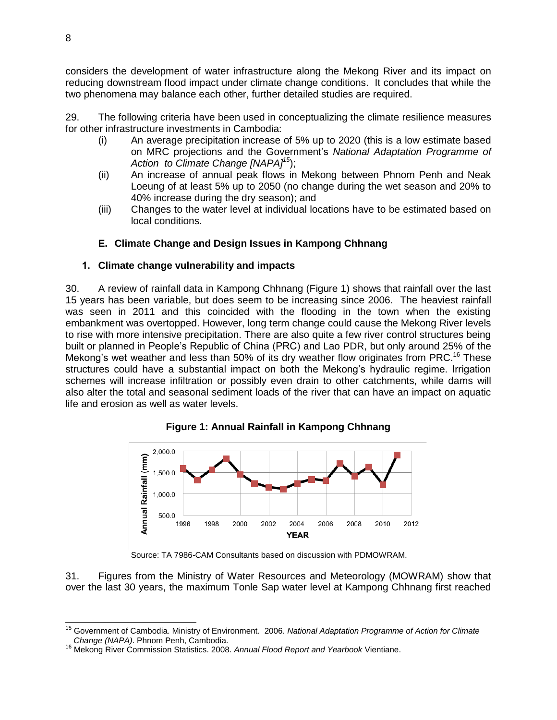considers the development of water infrastructure along the Mekong River and its impact on reducing downstream flood impact under climate change conditions. It concludes that while the two phenomena may balance each other, further detailed studies are required.

29. The following criteria have been used in conceptualizing the climate resilience measures for other infrastructure investments in Cambodia:

- (i) An average precipitation increase of 5% up to 2020 (this is a low estimate based on MRC projections and the Government's *National Adaptation Programme of Action to Climate Change [NAPA]<sup>15</sup>*);
- (ii) An increase of annual peak flows in Mekong between Phnom Penh and Neak Loeung of at least 5% up to 2050 (no change during the wet season and 20% to 40% increase during the dry season); and
- (iii) Changes to the water level at individual locations have to be estimated based on local conditions.

# **E. Climate Change and Design Issues in Kampong Chhnang**

## **1. Climate change vulnerability and impacts**

30. A review of rainfall data in Kampong Chhnang (Figure 1) shows that rainfall over the last 15 years has been variable, but does seem to be increasing since 2006. The heaviest rainfall was seen in 2011 and this coincided with the flooding in the town when the existing embankment was overtopped. However, long term change could cause the Mekong River levels to rise with more intensive precipitation. There are also quite a few river control structures being built or planned in People's Republic of China (PRC) and Lao PDR, but only around 25% of the Mekong's wet weather and less than 50% of its dry weather flow originates from PRC.<sup>16</sup> These structures could have a substantial impact on both the Mekong's hydraulic regime. Irrigation schemes will increase infiltration or possibly even drain to other catchments, while dams will also alter the total and seasonal sediment loads of the river that can have an impact on aquatic life and erosion as well as water levels.



**Figure 1: Annual Rainfall in Kampong Chhnang**

Source: TA 7986-CAM Consultants based on discussion with PDMOWRAM.

31. Figures from the Ministry of Water Resources and Meteorology (MOWRAM) show that over the last 30 years, the maximum Tonle Sap water level at Kampong Chhnang first reached

 $\overline{a}$ 

<sup>15</sup> Government of Cambodia. Ministry of Environment. 2006. *National Adaptation Programme of Action for Climate Change (NAPA)*. Phnom Penh, Cambodia.

<sup>16</sup> Mekong River Commission Statistics. 2008. *Annual Flood Report and Yearbook* Vientiane.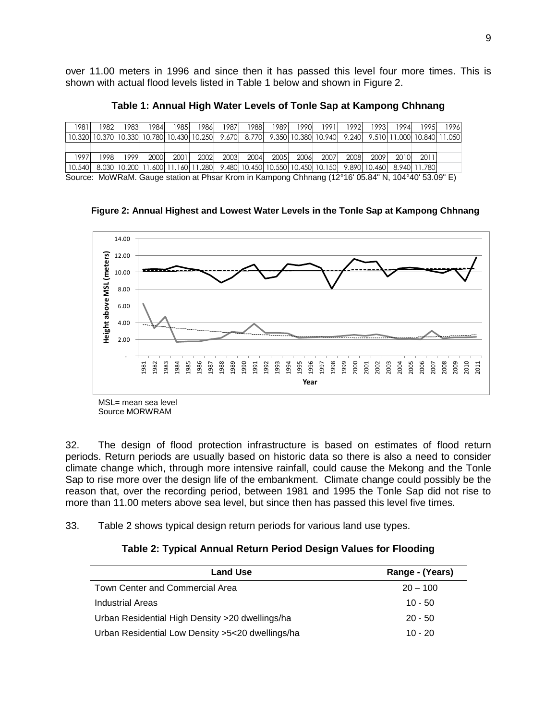over 11.00 meters in 1996 and since then it has passed this level four more times. This is shown with actual flood levels listed in Table 1 below and shown in Figure 2.

**Table 1: Annual High Water Levels of Tonle Sap at Kampong Chhnang**

| 1981   | 1982 | 19831 | 1984 | 1985 | 1986                                                                                                                        | 1987 | 1988 | 1989 | 1990 | 19911               | 1992 | 19931 | 1994                             | 1995 | 1996 |
|--------|------|-------|------|------|-----------------------------------------------------------------------------------------------------------------------------|------|------|------|------|---------------------|------|-------|----------------------------------|------|------|
|        |      |       |      |      | 10.320  10.370  10.330  10.780  10.430  10.250    9.670    8.770                                                            |      |      |      |      | 9.350 10.380 10.940 |      |       | 9.240 9.510 11.000 10.840 11.050 |      |      |
|        |      |       |      |      |                                                                                                                             |      |      |      |      |                     |      |       |                                  |      |      |
| 1997   | 1998 | 19991 | 2000 | 2001 | 2002                                                                                                                        | 2003 | 2004 | 2005 | 2006 | 2007                | 2008 | 2009  | 2010                             | 2011 |      |
| 10.540 |      |       |      |      | -8.030   10.200   11.600   11.160   11.280   -9.480   10.450   10.550   10.450   10.150   -9.890   10.460   -8.940   11.780 |      |      |      |      |                     |      |       |                                  |      |      |
|        |      |       |      |      |                                                                                                                             |      |      |      |      |                     |      |       |                                  |      |      |

Source: MoWRaM. Gauge station at Phsar Krom in Kampong Chhnang (12°16' 05.84" N, 104°40' 53.09" E)

**Figure 2: Annual Highest and Lowest Water Levels in the Tonle Sap at Kampong Chhnang**



Source MORWRAM

32. The design of flood protection infrastructure is based on estimates of flood return periods. Return periods are usually based on historic data so there is also a need to consider climate change which, through more intensive rainfall, could cause the Mekong and the Tonle Sap to rise more over the design life of the embankment. Climate change could possibly be the reason that, over the recording period, between 1981 and 1995 the Tonle Sap did not rise to more than 11.00 meters above sea level, but since then has passed this level five times.

33. Table 2 shows typical design return periods for various land use types.

#### **Table 2: Typical Annual Return Period Design Values for Flooding**

| <b>Land Use</b>                                  | Range - (Years) |
|--------------------------------------------------|-----------------|
| Town Center and Commercial Area                  | $20 - 100$      |
| Industrial Areas                                 | $10 - 50$       |
| Urban Residential High Density > 20 dwellings/ha | $20 - 50$       |
| Urban Residential Low Density >5<20 dwellings/ha | $10 - 20$       |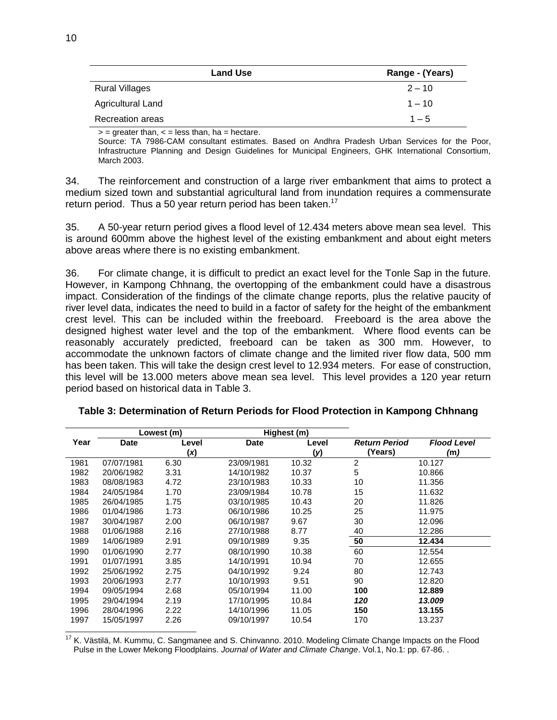| <b>Land Use</b>         | Range - (Years) |
|-------------------------|-----------------|
| Rural Villages          | $2 - 10$        |
| Agricultural Land       | $1 - 10$        |
| <b>Recreation areas</b> | $1 - 5$         |

 $\epsilon$  = greater than,  $\epsilon$  = less than, ha = hectare.

Source: TA 7986-CAM consultant estimates. Based on Andhra Pradesh Urban Services for the Poor, Infrastructure Planning and Design Guidelines for Municipal Engineers, GHK International Consortium, March 2003.

34. The reinforcement and construction of a large river embankment that aims to protect a medium sized town and substantial agricultural land from inundation requires a commensurate return period. Thus a 50 year return period has been taken.<sup>17</sup>

35. A 50-year return period gives a flood level of 12.434 meters above mean sea level. This is around 600mm above the highest level of the existing embankment and about eight meters above areas where there is no existing embankment.

36. For climate change, it is difficult to predict an exact level for the Tonle Sap in the future. However, in Kampong Chhnang, the overtopping of the embankment could have a disastrous impact. Consideration of the findings of the climate change reports, plus the relative paucity of river level data, indicates the need to build in a factor of safety for the height of the embankment crest level. This can be included within the freeboard. Freeboard is the area above the designed highest water level and the top of the embankment. Where flood events can be reasonably accurately predicted, freeboard can be taken as 300 mm. However, to accommodate the unknown factors of climate change and the limited river flow data, 500 mm has been taken. This will take the design crest level to 12.934 meters. For ease of construction, this level will be 13.000 meters above mean sea level. This level provides a 120 year return period based on historical data in Table 3.

|      |             | Lowest (m) |             | Highest (m) |                      |                    |
|------|-------------|------------|-------------|-------------|----------------------|--------------------|
| Year | <b>Date</b> | Level      | <b>Date</b> | Level       | <b>Return Period</b> | <b>Flood Level</b> |
|      |             | (x)        |             | (y)         | (Years)              | (m)                |
| 1981 | 07/07/1981  | 6.30       | 23/09/1981  | 10.32       | 2                    | 10.127             |
| 1982 | 20/06/1982  | 3.31       | 14/10/1982  | 10.37       | 5                    | 10.866             |
| 1983 | 08/08/1983  | 4.72       | 23/10/1983  | 10.33       | 10                   | 11.356             |
| 1984 | 24/05/1984  | 1.70       | 23/09/1984  | 10.78       | 15                   | 11.632             |
| 1985 | 26/04/1985  | 1.75       | 03/10/1985  | 10.43       | 20                   | 11.826             |
| 1986 | 01/04/1986  | 1.73       | 06/10/1986  | 10.25       | 25                   | 11.975             |
| 1987 | 30/04/1987  | 2.00       | 06/10/1987  | 9.67        | 30                   | 12.096             |
| 1988 | 01/06/1988  | 2.16       | 27/10/1988  | 8.77        | 40                   | 12.286             |
| 1989 | 14/06/1989  | 2.91       | 09/10/1989  | 9.35        | 50                   | 12.434             |
| 1990 | 01/06/1990  | 2.77       | 08/10/1990  | 10.38       | 60                   | 12.554             |
| 1991 | 01/07/1991  | 3.85       | 14/10/1991  | 10.94       | 70                   | 12.655             |
| 1992 | 25/06/1992  | 2.75       | 04/10/1992  | 9.24        | 80                   | 12.743             |
| 1993 | 20/06/1993  | 2.77       | 10/10/1993  | 9.51        | 90                   | 12.820             |
| 1994 | 09/05/1994  | 2.68       | 05/10/1994  | 11.00       | 100                  | 12.889             |
| 1995 | 29/04/1994  | 2.19       | 17/10/1995  | 10.84       | 120                  | 13.009             |
| 1996 | 28/04/1996  | 2.22       | 14/10/1996  | 11.05       | 150                  | 13.155             |
| 1997 | 15/05/1997  | 2.26       | 09/10/1997  | 10.54       | 170                  | 13.237             |

**Table 3: Determination of Return Periods for Flood Protection in Kampong Chhnang**

 $\overline{a}$  $17$  K. Västilä, M. Kummu, C. Sangmanee and S. Chinvanno. 2010. Modeling Climate Change Impacts on the Flood Pulse in the Lower Mekong Floodplains. *Journal of Water and Climate Change*. Vol.1, No.1: pp. 67-86. .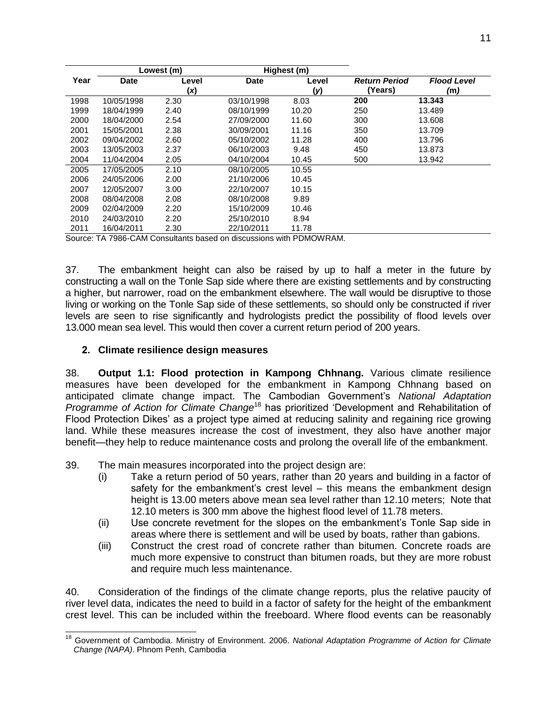|               |                                                                                                                                                                                                                                                                                  | Lowest (m) |             | Highest (m) |                      |                    |  |
|---------------|----------------------------------------------------------------------------------------------------------------------------------------------------------------------------------------------------------------------------------------------------------------------------------|------------|-------------|-------------|----------------------|--------------------|--|
| Year          | <b>Date</b>                                                                                                                                                                                                                                                                      | Level      | <b>Date</b> | Level       | <b>Return Period</b> | <b>Flood Level</b> |  |
|               |                                                                                                                                                                                                                                                                                  | (x)        |             | (y)         | (Years)              | (m)                |  |
| 1998          | 10/05/1998                                                                                                                                                                                                                                                                       | 2.30       | 03/10/1998  | 8.03        | 200                  | 13.343             |  |
| 1999          | 18/04/1999                                                                                                                                                                                                                                                                       | 2.40       | 08/10/1999  | 10.20       | 250                  | 13.489             |  |
| 2000          | 18/04/2000                                                                                                                                                                                                                                                                       | 2.54       | 27/09/2000  | 11.60       | 300                  | 13.608             |  |
| 2001          | 15/05/2001                                                                                                                                                                                                                                                                       | 2.38       | 30/09/2001  | 11.16       | 350                  | 13.709             |  |
| 2002          | 09/04/2002                                                                                                                                                                                                                                                                       | 2.60       | 05/10/2002  | 11.28       | 400                  | 13.796             |  |
| 2003          | 13/05/2003                                                                                                                                                                                                                                                                       | 2.37       | 06/10/2003  | 9.48        | 450                  | 13.873             |  |
| 2004          | 11/04/2004                                                                                                                                                                                                                                                                       | 2.05       | 04/10/2004  | 10.45       | 500                  | 13.942             |  |
| 2005          | 17/05/2005                                                                                                                                                                                                                                                                       | 2.10       | 08/10/2005  | 10.55       |                      |                    |  |
| 2006          | 24/05/2006                                                                                                                                                                                                                                                                       | 2.00       | 21/10/2006  | 10.45       |                      |                    |  |
| 2007          | 12/05/2007                                                                                                                                                                                                                                                                       | 3.00       | 22/10/2007  | 10.15       |                      |                    |  |
| 2008          | 08/04/2008                                                                                                                                                                                                                                                                       | 2.08       | 08/10/2008  | 9.89        |                      |                    |  |
| 2009          | 02/04/2009                                                                                                                                                                                                                                                                       | 2.20       | 15/10/2009  | 10.46       |                      |                    |  |
| 2010          | 24/03/2010                                                                                                                                                                                                                                                                       | 2.20       | 25/10/2010  | 8.94        |                      |                    |  |
| 2011          | 16/04/2011                                                                                                                                                                                                                                                                       | 2.30       | 22/10/2011  | 11.78       |                      |                    |  |
| $\sim$ $\sim$ | $\mathbf{u}$ <b>DDMANIDAM</b><br>TA 7000 0AM 0<br>the state of the state of the state of the state of the state of the state of the state of the state of the state of the state of the state of the state of the state of the state of the state of the state of the state of t |            |             |             |                      |                    |  |

Source: TA 7986-CAM Consultants based on discussions with PDMOWRAM.

37. The embankment height can also be raised by up to half a meter in the future by constructing a wall on the Tonle Sap side where there are existing settlements and by constructing a higher, but narrower, road on the embankment elsewhere. The wall would be disruptive to those living or working on the Tonle Sap side of these settlements, so should only be constructed if river levels are seen to rise significantly and hydrologists predict the possibility of flood levels over 13.000 mean sea level. This would then cover a current return period of 200 years.

### **2. Climate resilience design measures**

38. **Output 1.1: Flood protection in Kampong Chhnang.** Various climate resilience measures have been developed for the embankment in Kampong Chhnang based on anticipated climate change impact. The Cambodian Government's *National Adaptation Programme of Action for Climate Change*<sup>18</sup> has prioritized 'Development and Rehabilitation of Flood Protection Dikes' as a project type aimed at reducing salinity and regaining rice growing land. While these measures increase the cost of investment, they also have another major benefit—they help to reduce maintenance costs and prolong the overall life of the embankment.

39. The main measures incorporated into the project design are:

- (i) Take a return period of 50 years, rather than 20 years and building in a factor of safety for the embankment's crest level – this means the embankment design height is 13.00 meters above mean sea level rather than 12.10 meters; Note that 12.10 meters is 300 mm above the highest flood level of 11.78 meters.
- (ii) Use concrete revetment for the slopes on the embankment's Tonle Sap side in areas where there is settlement and will be used by boats, rather than gabions.
- (iii) Construct the crest road of concrete rather than bitumen. Concrete roads are much more expensive to construct than bitumen roads, but they are more robust and require much less maintenance.

40. Consideration of the findings of the climate change reports, plus the relative paucity of river level data, indicates the need to build in a factor of safety for the height of the embankment crest level. This can be included within the freeboard. Where flood events can be reasonably

 $\overline{a}$ <sup>18</sup> Government of Cambodia. Ministry of Environment. 2006. *National Adaptation Programme of Action for Climate Change (NAPA)*. Phnom Penh, Cambodia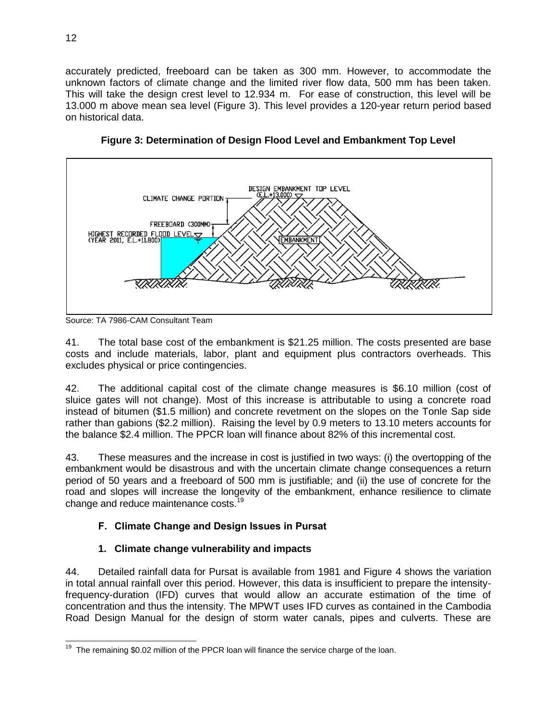accurately predicted, freeboard can be taken as 300 mm. However, to accommodate the unknown factors of climate change and the limited river flow data, 500 mm has been taken. This will take the design crest level to 12.934 m. For ease of construction, this level will be 13.000 m above mean sea level (Figure 3). This level provides a 120-year return period based on historical data.



**Figure 3: Determination of Design Flood Level and Embankment Top Level**

Source: TA 7986-CAM Consultant Team

41. The total base cost of the embankment is \$21.25 million. The costs presented are base costs and include materials, labor, plant and equipment plus contractors overheads. This excludes physical or price contingencies.

42. The additional capital cost of the climate change measures is \$6.10 million (cost of sluice gates will not change). Most of this increase is attributable to using a concrete road instead of bitumen (\$1.5 million) and concrete revetment on the slopes on the Tonle Sap side rather than gabions (\$2.2 million). Raising the level by 0.9 meters to 13.10 meters accounts for the balance \$2.4 million. The PPCR loan will finance about 82% of this incremental cost.

43. These measures and the increase in cost is justified in two ways: (i) the overtopping of the embankment would be disastrous and with the uncertain climate change consequences a return period of 50 years and a freeboard of 500 mm is justifiable; and (ii) the use of concrete for the road and slopes will increase the longevity of the embankment, enhance resilience to climate change and reduce maintenance costs.<sup>19</sup>

# **F. Climate Change and Design Issues in Pursat**

# **1. Climate change vulnerability and impacts**

44. Detailed rainfall data for Pursat is available from 1981 and Figure 4 shows the variation in total annual rainfall over this period. However, this data is insufficient to prepare the intensityfrequency-duration (IFD) curves that would allow an accurate estimation of the time of concentration and thus the intensity. The MPWT uses IFD curves as contained in the Cambodia Road Design Manual for the design of storm water canals, pipes and culverts. These are

<sup>&</sup>lt;sup>19</sup> The remaining \$0.02 million of the PPCR loan will finance the service charge of the loan.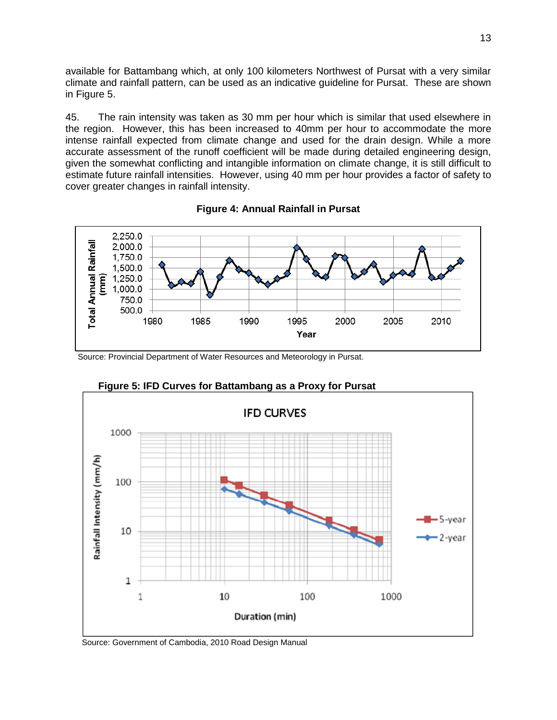available for Battambang which, at only 100 kilometers Northwest of Pursat with a very similar climate and rainfall pattern, can be used as an indicative guideline for Pursat. These are shown in Figure 5.

45. The rain intensity was taken as 30 mm per hour which is similar that used elsewhere in the region. However, this has been increased to 40mm per hour to accommodate the more intense rainfall expected from climate change and used for the drain design. While a more accurate assessment of the runoff coefficient will be made during detailed engineering design, given the somewhat conflicting and intangible information on climate change, it is still difficult to estimate future rainfall intensities. However, using 40 mm per hour provides a factor of safety to cover greater changes in rainfall intensity.





Source: Provincial Department of Water Resources and Meteorology in Pursat.



**Figure 5: IFD Curves for Battambang as a Proxy for Pursat**

Source: Government of Cambodia, 2010 Road Design Manual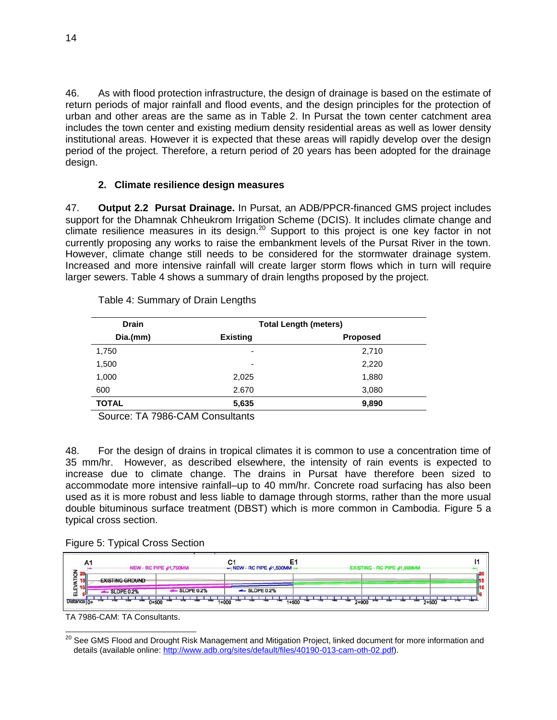46. As with flood protection infrastructure, the design of drainage is based on the estimate of return periods of major rainfall and flood events, and the design principles for the protection of urban and other areas are the same as in Table 2. In Pursat the town center catchment area includes the town center and existing medium density residential areas as well as lower density institutional areas. However it is expected that these areas will rapidly develop over the design period of the project. Therefore, a return period of 20 years has been adopted for the drainage design.

### **2. Climate resilience design measures**

47. **Output 2.2 Pursat Drainage.** In Pursat, an ADB/PPCR-financed GMS project includes support for the Dhamnak Chheukrom Irrigation Scheme (DCIS). It includes climate change and climate resilience measures in its design.<sup>20</sup> Support to this project is one key factor in not currently proposing any works to raise the embankment levels of the Pursat River in the town. However, climate change still needs to be considered for the stormwater drainage system. Increased and more intensive rainfall will create larger storm flows which in turn will require larger sewers. Table 4 shows a summary of drain lengths proposed by the project.

| <b>Drain</b> | <b>Total Length (meters)</b> |                 |  |  |
|--------------|------------------------------|-----------------|--|--|
| Dia.(mm)     | <b>Existing</b>              | <b>Proposed</b> |  |  |
| 1,750        | ٠                            | 2,710           |  |  |
| 1,500        | ٠                            | 2,220           |  |  |
| 1,000        | 2,025                        | 1,880           |  |  |
| 600          | 2.670                        | 3,080           |  |  |
| <b>TOTAL</b> | 5,635                        | 9,890           |  |  |

Table 4: Summary of Drain Lengths

Source: TA 7986-CAM Consultants

48. For the design of drains in tropical climates it is common to use a concentration time of 35 mm/hr. However, as described elsewhere, the intensity of rain events is expected to increase due to climate change. The drains in Pursat have therefore been sized to accommodate more intensive rainfall–up to 40 mm/hr. Concrete road surfacing has also been used as it is more robust and less liable to damage through storms, rather than the more usual double bituminous surface treatment (DBST) which is more common in Cambodia. Figure 5 a typical cross section.

|  |  | Figure 5: Typical Cross Section |
|--|--|---------------------------------|
|  |  |                                 |

| -NEW - RC PIPE $\phi$ 1,750MM- |                | $\rightarrow$ NEW - RC PIPE $\phi$ 1,500MM |  |  |
|--------------------------------|----------------|--------------------------------------------|--|--|
| <b>EXISTING GROUND</b>         |                |                                            |  |  |
| -SLOPE 0.2%                    | $-$ SLOPE 0.2% | $-$ SLOPE 0.2%                             |  |  |

TA 7986-CAM: TA Consultants.

 $\overline{a}$ <sup>20</sup> See GMS Flood and Drought Risk Management and Mitigation Project, linked document for more information and details (available online[: http://www.adb.org/sites/default/files/40190-013-cam-oth-02.pdf\)](http://www.adb.org/sites/default/files/40190-013-cam-oth-02.pdf).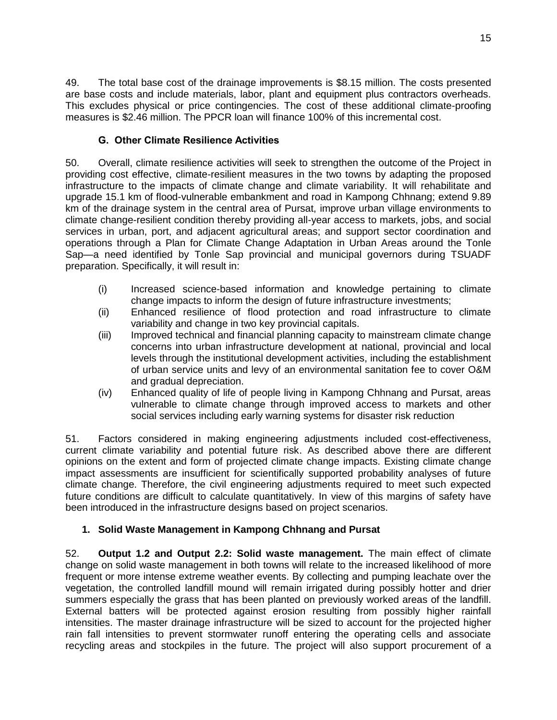49. The total base cost of the drainage improvements is \$8.15 million. The costs presented are base costs and include materials, labor, plant and equipment plus contractors overheads. This excludes physical or price contingencies. The cost of these additional climate-proofing measures is \$2.46 million. The PPCR loan will finance 100% of this incremental cost.

# **G. Other Climate Resilience Activities**

50. Overall, climate resilience activities will seek to strengthen the outcome of the Project in providing cost effective, climate-resilient measures in the two towns by adapting the proposed infrastructure to the impacts of climate change and climate variability. It will rehabilitate and upgrade 15.1 km of flood-vulnerable embankment and road in Kampong Chhnang; extend 9.89 km of the drainage system in the central area of Pursat, improve urban village environments to climate change-resilient condition thereby providing all-year access to markets, jobs, and social services in urban, port, and adjacent agricultural areas; and support sector coordination and operations through a Plan for Climate Change Adaptation in Urban Areas around the Tonle Sap—a need identified by Tonle Sap provincial and municipal governors during TSUADF preparation. Specifically, it will result in:

- (i) Increased science-based information and knowledge pertaining to climate change impacts to inform the design of future infrastructure investments;
- (ii) Enhanced resilience of flood protection and road infrastructure to climate variability and change in two key provincial capitals.
- (iii) Improved technical and financial planning capacity to mainstream climate change concerns into urban infrastructure development at national, provincial and local levels through the institutional development activities, including the establishment of urban service units and levy of an environmental sanitation fee to cover O&M and gradual depreciation.
- (iv) Enhanced quality of life of people living in Kampong Chhnang and Pursat, areas vulnerable to climate change through improved access to markets and other social services including early warning systems for disaster risk reduction

51. Factors considered in making engineering adjustments included cost-effectiveness, current climate variability and potential future risk. As described above there are different opinions on the extent and form of projected climate change impacts. Existing climate change impact assessments are insufficient for scientifically supported probability analyses of future climate change. Therefore, the civil engineering adjustments required to meet such expected future conditions are difficult to calculate quantitatively. In view of this margins of safety have been introduced in the infrastructure designs based on project scenarios.

## **1. Solid Waste Management in Kampong Chhnang and Pursat**

52. **Output 1.2 and Output 2.2: Solid waste management.** The main effect of climate change on solid waste management in both towns will relate to the increased likelihood of more frequent or more intense extreme weather events. By collecting and pumping leachate over the vegetation, the controlled landfill mound will remain irrigated during possibly hotter and drier summers especially the grass that has been planted on previously worked areas of the landfill. External batters will be protected against erosion resulting from possibly higher rainfall intensities. The master drainage infrastructure will be sized to account for the projected higher rain fall intensities to prevent stormwater runoff entering the operating cells and associate recycling areas and stockpiles in the future. The project will also support procurement of a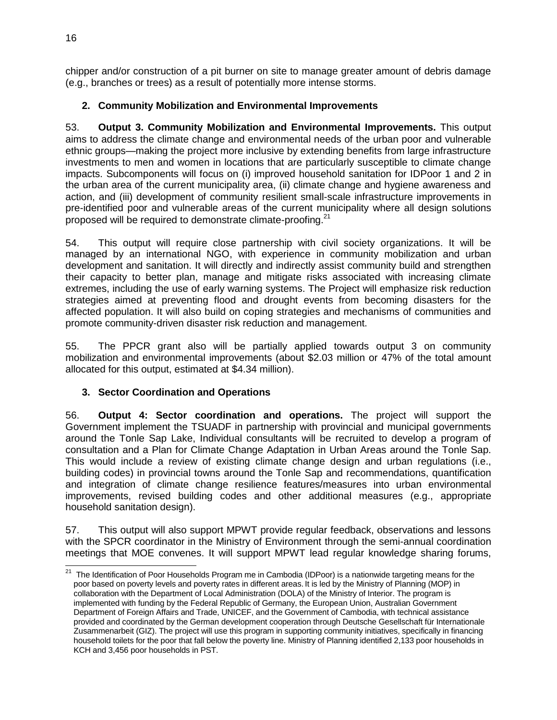chipper and/or construction of a pit burner on site to manage greater amount of debris damage (e.g., branches or trees) as a result of potentially more intense storms.

# **2. Community Mobilization and Environmental Improvements**

53. **Output 3. Community Mobilization and Environmental Improvements.** This output aims to address the climate change and environmental needs of the urban poor and vulnerable ethnic groups—making the project more inclusive by extending benefits from large infrastructure investments to men and women in locations that are particularly susceptible to climate change impacts. Subcomponents will focus on (i) improved household sanitation for IDPoor 1 and 2 in the urban area of the current municipality area, (ii) climate change and hygiene awareness and action, and (iii) development of community resilient small-scale infrastructure improvements in pre-identified poor and vulnerable areas of the current municipality where all design solutions proposed will be required to demonstrate climate-proofing.<sup>21</sup>

54. This output will require close partnership with civil society organizations. It will be managed by an international NGO, with experience in community mobilization and urban development and sanitation. It will directly and indirectly assist community build and strengthen their capacity to better plan, manage and mitigate risks associated with increasing climate extremes, including the use of early warning systems. The Project will emphasize risk reduction strategies aimed at preventing flood and drought events from becoming disasters for the affected population. It will also build on coping strategies and mechanisms of communities and promote community-driven disaster risk reduction and management.

55. The PPCR grant also will be partially applied towards output 3 on community mobilization and environmental improvements (about \$2.03 million or 47% of the total amount allocated for this output, estimated at \$4.34 million).

# **3. Sector Coordination and Operations**

56. **Output 4: Sector coordination and operations.** The project will support the Government implement the TSUADF in partnership with provincial and municipal governments around the Tonle Sap Lake, Individual consultants will be recruited to develop a program of consultation and a Plan for Climate Change Adaptation in Urban Areas around the Tonle Sap. This would include a review of existing climate change design and urban regulations (i.e., building codes) in provincial towns around the Tonle Sap and recommendations, quantification and integration of climate change resilience features/measures into urban environmental improvements, revised building codes and other additional measures (e.g., appropriate household sanitation design).

57. This output will also support MPWT provide regular feedback, observations and lessons with the SPCR coordinator in the Ministry of Environment through the semi-annual coordination meetings that MOE convenes. It will support MPWT lead regular knowledge sharing forums,

 21 The Identification of Poor Households Program me in Cambodia (IDPoor) is a nationwide targeting means for the poor based on poverty levels and poverty rates in different areas. It is led by the Ministry of Planning (MOP) in collaboration with the Department of Local Administration (DOLA) of the Ministry of Interior. The program is implemented with funding by the Federal Republic of Germany, the European Union, Australian Government Department of Foreign Affairs and Trade, UNICEF, and the Government of Cambodia, with technical assistance provided and coordinated by the German development cooperation through Deutsche Gesellschaft für Internationale Zusammenarbeit (GIZ). The project will use this program in supporting community initiatives, specifically in financing household toilets for the poor that fall below the poverty line. Ministry of Planning identified 2,133 poor households in KCH and 3,456 poor households in PST.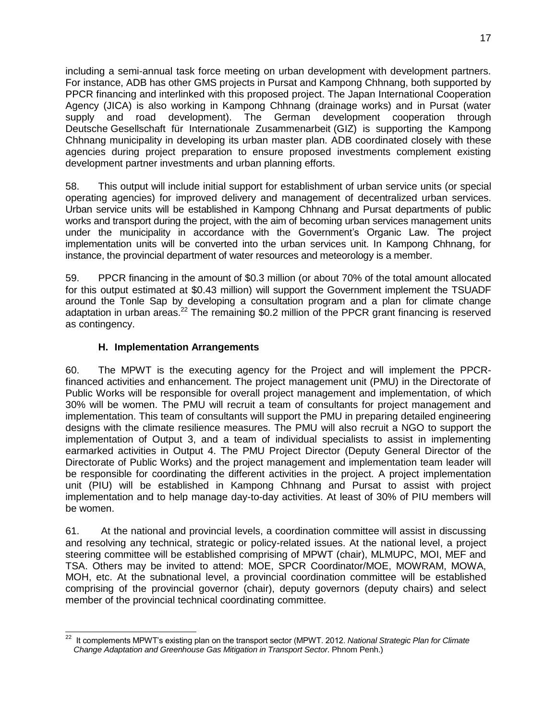including a semi-annual task force meeting on urban development with development partners. For instance, ADB has other GMS projects in Pursat and Kampong Chhnang, both supported by PPCR financing and interlinked with this proposed project. The Japan International Cooperation Agency (JICA) is also working in Kampong Chhnang (drainage works) and in Pursat (water supply and road development). The German development cooperation through Deutsche Gesellschaft für Internationale Zusammenarbeit (GIZ) is supporting the Kampong Chhnang municipality in developing its urban master plan. ADB coordinated closely with these agencies during project preparation to ensure proposed investments complement existing development partner investments and urban planning efforts.

58. This output will include initial support for establishment of urban service units (or special operating agencies) for improved delivery and management of decentralized urban services. Urban service units will be established in Kampong Chhnang and Pursat departments of public works and transport during the project, with the aim of becoming urban services management units under the municipality in accordance with the Government's Organic Law. The project implementation units will be converted into the urban services unit. In Kampong Chhnang, for instance, the provincial department of water resources and meteorology is a member.

59. PPCR financing in the amount of \$0.3 million (or about 70% of the total amount allocated for this output estimated at \$0.43 million) will support the Government implement the TSUADF around the Tonle Sap by developing a consultation program and a plan for climate change adaptation in urban areas.<sup>22</sup> The remaining \$0.2 million of the PPCR grant financing is reserved as contingency.

## **H. Implementation Arrangements**

60. The MPWT is the executing agency for the Project and will implement the PPCRfinanced activities and enhancement. The project management unit (PMU) in the Directorate of Public Works will be responsible for overall project management and implementation, of which 30% will be women. The PMU will recruit a team of consultants for project management and implementation. This team of consultants will support the PMU in preparing detailed engineering designs with the climate resilience measures. The PMU will also recruit a NGO to support the implementation of Output 3, and a team of individual specialists to assist in implementing earmarked activities in Output 4. The PMU Project Director (Deputy General Director of the Directorate of Public Works) and the project management and implementation team leader will be responsible for coordinating the different activities in the project. A project implementation unit (PIU) will be established in Kampong Chhnang and Pursat to assist with project implementation and to help manage day-to-day activities. At least of 30% of PIU members will be women.

61. At the national and provincial levels, a coordination committee will assist in discussing and resolving any technical, strategic or policy-related issues. At the national level, a project steering committee will be established comprising of MPWT (chair), MLMUPC, MOI, MEF and TSA. Others may be invited to attend: MOE, SPCR Coordinator/MOE, MOWRAM, MOWA, MOH, etc. At the subnational level, a provincial coordination committee will be established comprising of the provincial governor (chair), deputy governors (deputy chairs) and select member of the provincial technical coordinating committee.

 22 It complements MPWT's existing plan on the transport sector (MPWT. 2012. *National Strategic Plan for Climate Change Adaptation and Greenhouse Gas Mitigation in Transport Sector*. Phnom Penh.)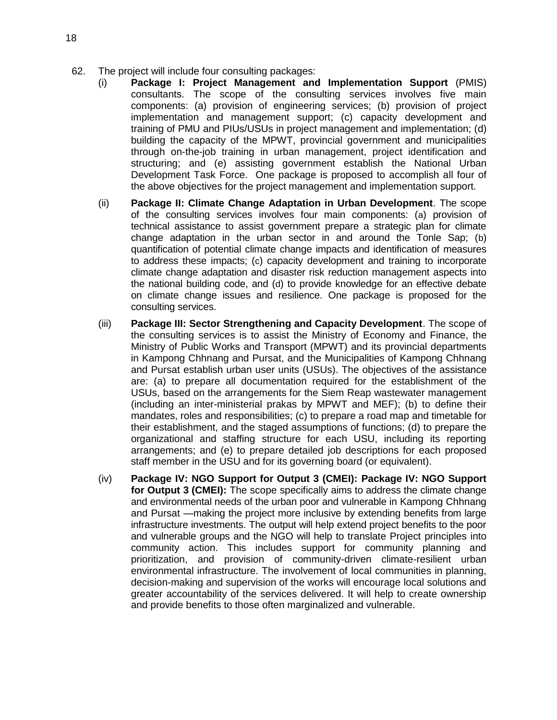- 62. The project will include four consulting packages:
	- (i) **Package I: Project Management and Implementation Support** (PMIS) consultants. The scope of the consulting services involves five main components: (a) provision of engineering services; (b) provision of project implementation and management support; (c) capacity development and training of PMU and PIUs/USUs in project management and implementation; (d) building the capacity of the MPWT, provincial government and municipalities through on-the-job training in urban management, project identification and structuring; and (e) assisting government establish the National Urban Development Task Force. One package is proposed to accomplish all four of the above objectives for the project management and implementation support.
	- (ii) **Package II: Climate Change Adaptation in Urban Development**. The scope of the consulting services involves four main components: (a) provision of technical assistance to assist government prepare a strategic plan for climate change adaptation in the urban sector in and around the Tonle Sap; (b) quantification of potential climate change impacts and identification of measures to address these impacts; (c) capacity development and training to incorporate climate change adaptation and disaster risk reduction management aspects into the national building code, and (d) to provide knowledge for an effective debate on climate change issues and resilience. One package is proposed for the consulting services.
	- (iii) **Package III: Sector Strengthening and Capacity Development**. The scope of the consulting services is to assist the Ministry of Economy and Finance, the Ministry of Public Works and Transport (MPWT) and its provincial departments in Kampong Chhnang and Pursat, and the Municipalities of Kampong Chhnang and Pursat establish urban user units (USUs). The objectives of the assistance are: (a) to prepare all documentation required for the establishment of the USUs, based on the arrangements for the Siem Reap wastewater management (including an inter-ministerial prakas by MPWT and MEF); (b) to define their mandates, roles and responsibilities; (c) to prepare a road map and timetable for their establishment, and the staged assumptions of functions; (d) to prepare the organizational and staffing structure for each USU, including its reporting arrangements; and (e) to prepare detailed job descriptions for each proposed staff member in the USU and for its governing board (or equivalent).
	- (iv) **Package IV: NGO Support for Output 3 (CMEI): Package IV: NGO Support for Output 3 (CMEI):** The scope specifically aims to address the climate change and environmental needs of the urban poor and vulnerable in Kampong Chhnang and Pursat —making the project more inclusive by extending benefits from large infrastructure investments. The output will help extend project benefits to the poor and vulnerable groups and the NGO will help to translate Project principles into community action. This includes support for community planning and prioritization, and provision of community-driven climate-resilient urban environmental infrastructure. The involvement of local communities in planning, decision-making and supervision of the works will encourage local solutions and greater accountability of the services delivered. It will help to create ownership and provide benefits to those often marginalized and vulnerable.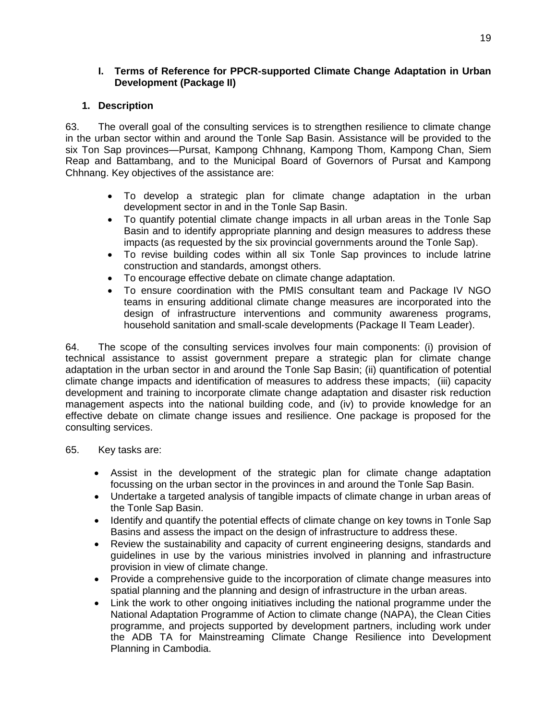### **I. Terms of Reference for PPCR-supported Climate Change Adaptation in Urban Development (Package II)**

### **1. Description**

63. The overall goal of the consulting services is to strengthen resilience to climate change in the urban sector within and around the Tonle Sap Basin. Assistance will be provided to the six Ton Sap provinces—Pursat, Kampong Chhnang, Kampong Thom, Kampong Chan, Siem Reap and Battambang, and to the Municipal Board of Governors of Pursat and Kampong Chhnang. Key objectives of the assistance are:

- To develop a strategic plan for climate change adaptation in the urban development sector in and in the Tonle Sap Basin.
- To quantify potential climate change impacts in all urban areas in the Tonle Sap Basin and to identify appropriate planning and design measures to address these impacts (as requested by the six provincial governments around the Tonle Sap).
- To revise building codes within all six Tonle Sap provinces to include latrine construction and standards, amongst others.
- To encourage effective debate on climate change adaptation.
- To ensure coordination with the PMIS consultant team and Package IV NGO teams in ensuring additional climate change measures are incorporated into the design of infrastructure interventions and community awareness programs, household sanitation and small-scale developments (Package II Team Leader).

64. The scope of the consulting services involves four main components: (i) provision of technical assistance to assist government prepare a strategic plan for climate change adaptation in the urban sector in and around the Tonle Sap Basin; (ii) quantification of potential climate change impacts and identification of measures to address these impacts; (iii) capacity development and training to incorporate climate change adaptation and disaster risk reduction management aspects into the national building code, and (iv) to provide knowledge for an effective debate on climate change issues and resilience. One package is proposed for the consulting services.

- 65. Key tasks are:
	- Assist in the development of the strategic plan for climate change adaptation focussing on the urban sector in the provinces in and around the Tonle Sap Basin.
	- Undertake a targeted analysis of tangible impacts of climate change in urban areas of the Tonle Sap Basin.
	- Identify and quantify the potential effects of climate change on key towns in Tonle Sap Basins and assess the impact on the design of infrastructure to address these.
	- Review the sustainability and capacity of current engineering designs, standards and guidelines in use by the various ministries involved in planning and infrastructure provision in view of climate change.
	- Provide a comprehensive guide to the incorporation of climate change measures into spatial planning and the planning and design of infrastructure in the urban areas.
	- Link the work to other ongoing initiatives including the national programme under the National Adaptation Programme of Action to climate change (NAPA), the Clean Cities programme, and projects supported by development partners, including work under the ADB TA for Mainstreaming Climate Change Resilience into Development Planning in Cambodia.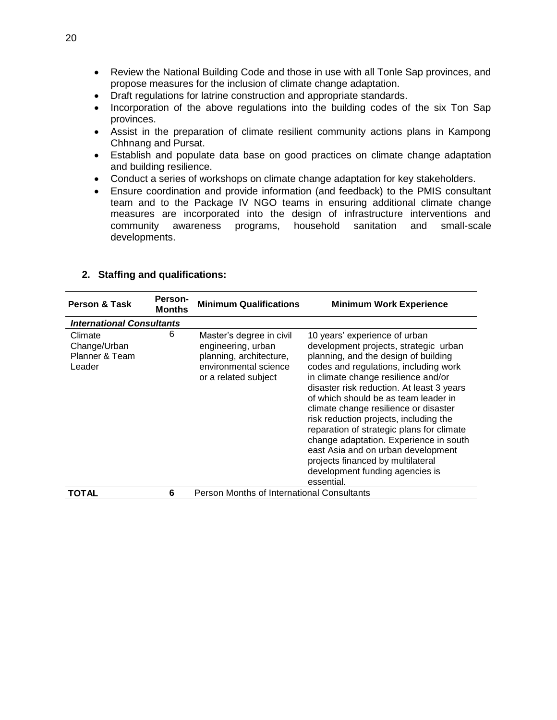- Review the National Building Code and those in use with all Tonle Sap provinces, and propose measures for the inclusion of climate change adaptation.
- Draft regulations for latrine construction and appropriate standards.
- Incorporation of the above regulations into the building codes of the six Ton Sap provinces.
- Assist in the preparation of climate resilient community actions plans in Kampong Chhnang and Pursat.
- Establish and populate data base on good practices on climate change adaptation and building resilience.
- Conduct a series of workshops on climate change adaptation for key stakeholders.
- Ensure coordination and provide information (and feedback) to the PMIS consultant team and to the Package IV NGO teams in ensuring additional climate change measures are incorporated into the design of infrastructure interventions and community awareness programs, household sanitation and small-scale developments.

| <b>Person &amp; Task</b>                            | Person-<br><b>Months</b> | <b>Minimum Qualifications</b>                                                                                              | <b>Minimum Work Experience</b>                                                                                                                                                                                                                                                                                                                                                                                                                                                                                                                                                            |
|-----------------------------------------------------|--------------------------|----------------------------------------------------------------------------------------------------------------------------|-------------------------------------------------------------------------------------------------------------------------------------------------------------------------------------------------------------------------------------------------------------------------------------------------------------------------------------------------------------------------------------------------------------------------------------------------------------------------------------------------------------------------------------------------------------------------------------------|
| <b>International Consultants</b>                    |                          |                                                                                                                            |                                                                                                                                                                                                                                                                                                                                                                                                                                                                                                                                                                                           |
| Climate<br>Change/Urban<br>Planner & Team<br>Leader | 6                        | Master's degree in civil<br>engineering, urban<br>planning, architecture,<br>environmental science<br>or a related subject | 10 years' experience of urban<br>development projects, strategic urban<br>planning, and the design of building<br>codes and regulations, including work<br>in climate change resilience and/or<br>disaster risk reduction. At least 3 years<br>of which should be as team leader in<br>climate change resilience or disaster<br>risk reduction projects, including the<br>reparation of strategic plans for climate<br>change adaptation. Experience in south<br>east Asia and on urban development<br>projects financed by multilateral<br>development funding agencies is<br>essential. |
| TOTAL                                               | 6                        | <b>Person Months of International Consultants</b>                                                                          |                                                                                                                                                                                                                                                                                                                                                                                                                                                                                                                                                                                           |

#### **2. Staffing and qualifications:**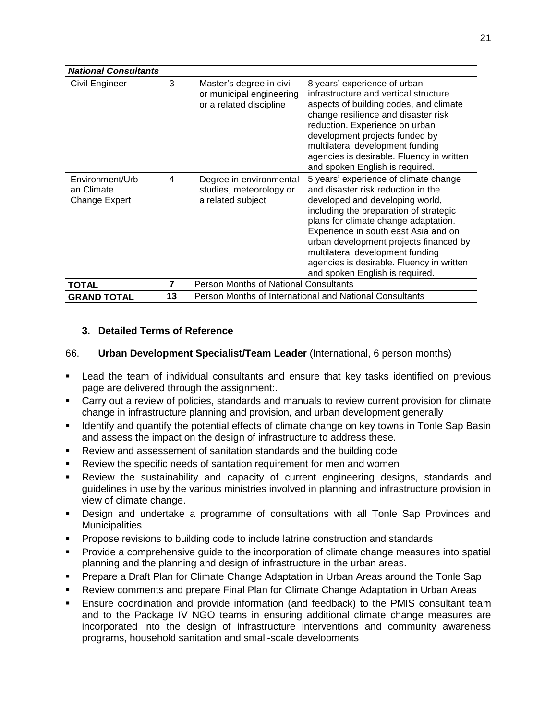| <b>National Consultants</b>                                                         |   |                                                                                 |                                                                                                                                                                                                                                                                                                                                                                                                        |
|-------------------------------------------------------------------------------------|---|---------------------------------------------------------------------------------|--------------------------------------------------------------------------------------------------------------------------------------------------------------------------------------------------------------------------------------------------------------------------------------------------------------------------------------------------------------------------------------------------------|
| Civil Engineer                                                                      | 3 | Master's degree in civil<br>or municipal engineering<br>or a related discipline | 8 years' experience of urban<br>infrastructure and vertical structure<br>aspects of building codes, and climate<br>change resilience and disaster risk<br>reduction. Experience on urban<br>development projects funded by<br>multilateral development funding<br>agencies is desirable. Fluency in written<br>and spoken English is required.                                                         |
| Environment/Urb<br>an Climate<br>Change Expert                                      | 4 | Degree in environmental<br>studies, meteorology or<br>a related subject         | 5 years' experience of climate change<br>and disaster risk reduction in the<br>developed and developing world,<br>including the preparation of strategic<br>plans for climate change adaptation.<br>Experience in south east Asia and on<br>urban development projects financed by<br>multilateral development funding<br>agencies is desirable. Fluency in written<br>and spoken English is required. |
| TOTAL                                                                               | 7 | <b>Person Months of National Consultants</b>                                    |                                                                                                                                                                                                                                                                                                                                                                                                        |
| 13<br>Person Months of International and National Consultants<br><b>GRAND TOTAL</b> |   |                                                                                 |                                                                                                                                                                                                                                                                                                                                                                                                        |

### **3. Detailed Terms of Reference**

### 66. **Urban Development Specialist/Team Leader** (International, 6 person months)

- Lead the team of individual consultants and ensure that key tasks identified on previous page are delivered through the assignment:.
- Carry out a review of policies, standards and manuals to review current provision for climate change in infrastructure planning and provision, and urban development generally
- Identify and quantify the potential effects of climate change on key towns in Tonle Sap Basin and assess the impact on the design of infrastructure to address these.
- Review and assessement of sanitation standards and the building code
- Review the specific needs of santation requirement for men and women
- Review the sustainability and capacity of current engineering designs, standards and guidelines in use by the various ministries involved in planning and infrastructure provision in view of climate change.
- Design and undertake a programme of consultations with all Tonle Sap Provinces and **Municipalities**
- Propose revisions to building code to include latrine construction and standards
- Provide a comprehensive guide to the incorporation of climate change measures into spatial planning and the planning and design of infrastructure in the urban areas.
- Prepare a Draft Plan for Climate Change Adaptation in Urban Areas around the Tonle Sap
- Review comments and prepare Final Plan for Climate Change Adaptation in Urban Areas
- Ensure coordination and provide information (and feedback) to the PMIS consultant team and to the Package IV NGO teams in ensuring additional climate change measures are incorporated into the design of infrastructure interventions and community awareness programs, household sanitation and small-scale developments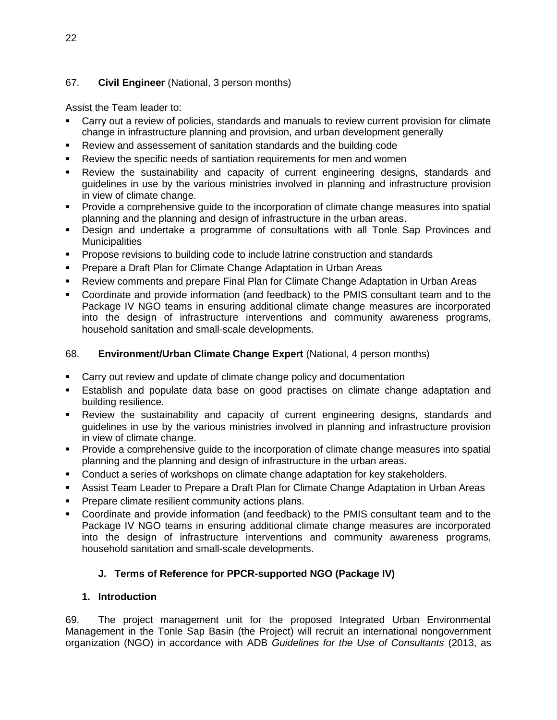## 67. **Civil Engineer** (National, 3 person months)

Assist the Team leader to:

- Carry out a review of policies, standards and manuals to review current provision for climate change in infrastructure planning and provision, and urban development generally
- Review and assessement of sanitation standards and the building code
- Review the specific needs of santiation requirements for men and women
- Review the sustainability and capacity of current engineering designs, standards and guidelines in use by the various ministries involved in planning and infrastructure provision in view of climate change.
- **Provide a comprehensive guide to the incorporation of climate change measures into spatial** planning and the planning and design of infrastructure in the urban areas.
- Design and undertake a programme of consultations with all Tonle Sap Provinces and **Municipalities**
- **Propose revisions to building code to include latrine construction and standards**
- **Prepare a Draft Plan for Climate Change Adaptation in Urban Areas**
- Review comments and prepare Final Plan for Climate Change Adaptation in Urban Areas
- Coordinate and provide information (and feedback) to the PMIS consultant team and to the Package IV NGO teams in ensuring additional climate change measures are incorporated into the design of infrastructure interventions and community awareness programs, household sanitation and small-scale developments.

### 68. **Environment/Urban Climate Change Expert** (National, 4 person months)

- Carry out review and update of climate change policy and documentation
- Establish and populate data base on good practises on climate change adaptation and building resilience.
- Review the sustainability and capacity of current engineering designs, standards and guidelines in use by the various ministries involved in planning and infrastructure provision in view of climate change.
- Provide a comprehensive guide to the incorporation of climate change measures into spatial planning and the planning and design of infrastructure in the urban areas.
- Conduct a series of workshops on climate change adaptation for key stakeholders.
- Assist Team Leader to Prepare a Draft Plan for Climate Change Adaptation in Urban Areas
- **Prepare climate resilient community actions plans.**
- Coordinate and provide information (and feedback) to the PMIS consultant team and to the Package IV NGO teams in ensuring additional climate change measures are incorporated into the design of infrastructure interventions and community awareness programs, household sanitation and small-scale developments.

### **J. Terms of Reference for PPCR-supported NGO (Package IV)**

### **1. Introduction**

69. The project management unit for the proposed Integrated Urban Environmental Management in the Tonle Sap Basin (the Project) will recruit an international nongovernment organization (NGO) in accordance with ADB *Guidelines for the Use of Consultants* (2013, as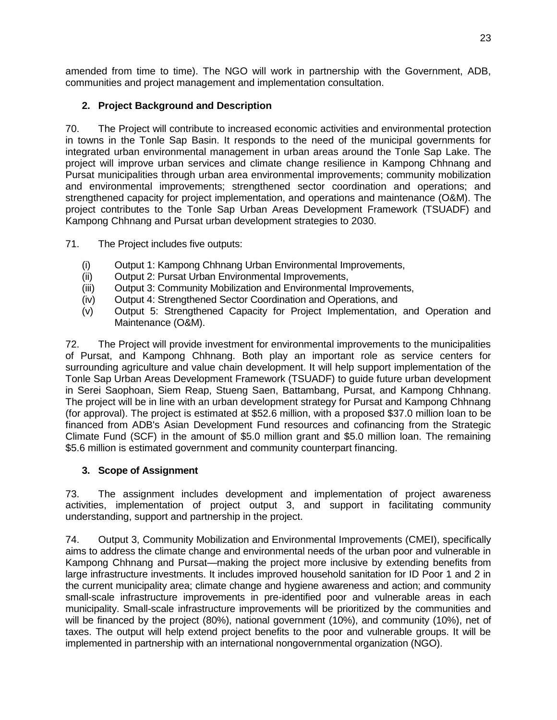amended from time to time). The NGO will work in partnership with the Government, ADB, communities and project management and implementation consultation.

# **2. Project Background and Description**

70. The Project will contribute to increased economic activities and environmental protection in towns in the Tonle Sap Basin. It responds to the need of the municipal governments for integrated urban environmental management in urban areas around the Tonle Sap Lake. The project will improve urban services and climate change resilience in Kampong Chhnang and Pursat municipalities through urban area environmental improvements; community mobilization and environmental improvements; strengthened sector coordination and operations; and strengthened capacity for project implementation, and operations and maintenance (O&M). The project contributes to the Tonle Sap Urban Areas Development Framework (TSUADF) and Kampong Chhnang and Pursat urban development strategies to 2030.

71. The Project includes five outputs:

- (i) Output 1: Kampong Chhnang Urban Environmental Improvements,
- (ii) Output 2: Pursat Urban Environmental Improvements,
- (iii) Output 3: Community Mobilization and Environmental Improvements,
- (iv) Output 4: Strengthened Sector Coordination and Operations, and
- (v) Output 5: Strengthened Capacity for Project Implementation, and Operation and Maintenance (O&M).

72. The Project will provide investment for environmental improvements to the municipalities of Pursat, and Kampong Chhnang. Both play an important role as service centers for surrounding agriculture and value chain development. It will help support implementation of the Tonle Sap Urban Areas Development Framework (TSUADF) to guide future urban development in Serei Saophoan, Siem Reap, Stueng Saen, Battambang, Pursat, and Kampong Chhnang. The project will be in line with an urban development strategy for Pursat and Kampong Chhnang (for approval). The project is estimated at \$52.6 million, with a proposed \$37.0 million loan to be financed from ADB's Asian Development Fund resources and cofinancing from the Strategic Climate Fund (SCF) in the amount of \$5.0 million grant and \$5.0 million loan. The remaining \$5.6 million is estimated government and community counterpart financing.

## **3. Scope of Assignment**

73. The assignment includes development and implementation of project awareness activities, implementation of project output 3, and support in facilitating community understanding, support and partnership in the project.

74. Output 3, Community Mobilization and Environmental Improvements (CMEI), specifically aims to address the climate change and environmental needs of the urban poor and vulnerable in Kampong Chhnang and Pursat—making the project more inclusive by extending benefits from large infrastructure investments. It includes improved household sanitation for ID Poor 1 and 2 in the current municipality area; climate change and hygiene awareness and action; and community small-scale infrastructure improvements in pre-identified poor and vulnerable areas in each municipality. Small-scale infrastructure improvements will be prioritized by the communities and will be financed by the project (80%), national government (10%), and community (10%), net of taxes. The output will help extend project benefits to the poor and vulnerable groups. It will be implemented in partnership with an international nongovernmental organization (NGO).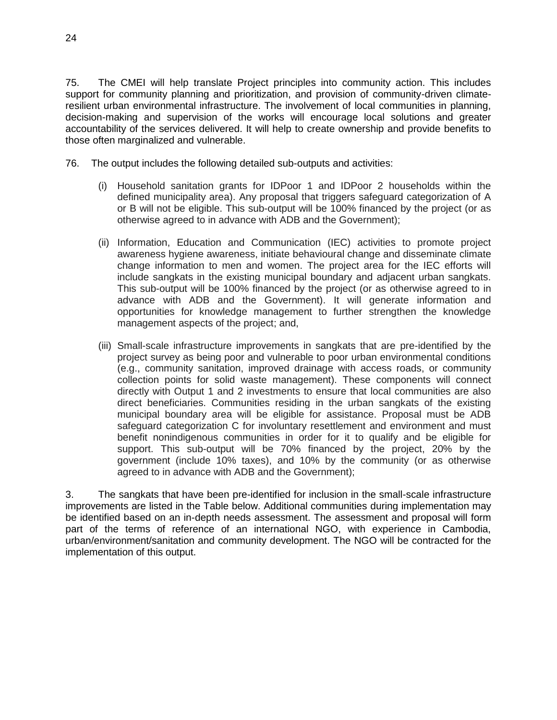75. The CMEI will help translate Project principles into community action. This includes support for community planning and prioritization, and provision of community-driven climateresilient urban environmental infrastructure. The involvement of local communities in planning, decision-making and supervision of the works will encourage local solutions and greater accountability of the services delivered. It will help to create ownership and provide benefits to those often marginalized and vulnerable.

- 76. The output includes the following detailed sub-outputs and activities:
	- (i) Household sanitation grants for IDPoor 1 and IDPoor 2 households within the defined municipality area). Any proposal that triggers safeguard categorization of A or B will not be eligible. This sub-output will be 100% financed by the project (or as otherwise agreed to in advance with ADB and the Government);
	- (ii) Information, Education and Communication (IEC) activities to promote project awareness hygiene awareness, initiate behavioural change and disseminate climate change information to men and women. The project area for the IEC efforts will include sangkats in the existing municipal boundary and adjacent urban sangkats. This sub-output will be 100% financed by the project (or as otherwise agreed to in advance with ADB and the Government). It will generate information and opportunities for knowledge management to further strengthen the knowledge management aspects of the project; and,
	- (iii) Small-scale infrastructure improvements in sangkats that are pre-identified by the project survey as being poor and vulnerable to poor urban environmental conditions (e.g., community sanitation, improved drainage with access roads, or community collection points for solid waste management). These components will connect directly with Output 1 and 2 investments to ensure that local communities are also direct beneficiaries. Communities residing in the urban sangkats of the existing municipal boundary area will be eligible for assistance. Proposal must be ADB safeguard categorization C for involuntary resettlement and environment and must benefit nonindigenous communities in order for it to qualify and be eligible for support. This sub-output will be 70% financed by the project, 20% by the government (include 10% taxes), and 10% by the community (or as otherwise agreed to in advance with ADB and the Government);

3. The sangkats that have been pre-identified for inclusion in the small-scale infrastructure improvements are listed in the Table below. Additional communities during implementation may be identified based on an in-depth needs assessment. The assessment and proposal will form part of the terms of reference of an international NGO, with experience in Cambodia, urban/environment/sanitation and community development. The NGO will be contracted for the implementation of this output.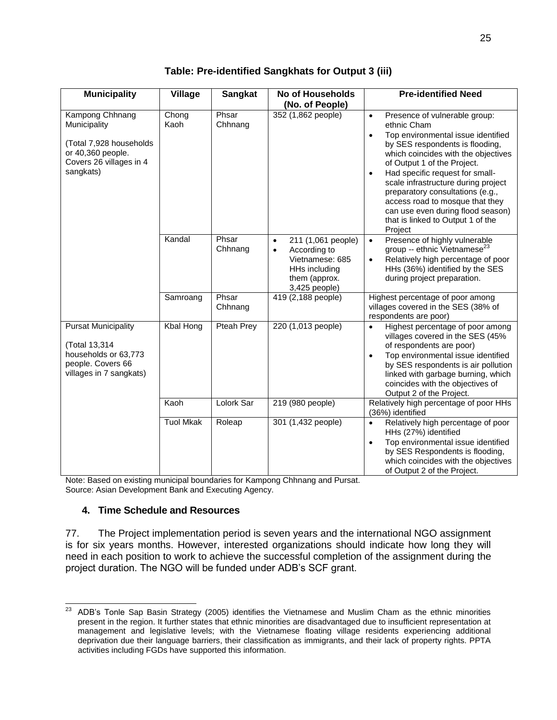| <b>Municipality</b>                                                                                                     | <b>Village</b>   | <b>Sangkat</b>   | <b>No of Households</b><br>(No. of People)                                                                                         | <b>Pre-identified Need</b>                                                                                                                                                                                                                                                                                                                                                                                                                                               |
|-------------------------------------------------------------------------------------------------------------------------|------------------|------------------|------------------------------------------------------------------------------------------------------------------------------------|--------------------------------------------------------------------------------------------------------------------------------------------------------------------------------------------------------------------------------------------------------------------------------------------------------------------------------------------------------------------------------------------------------------------------------------------------------------------------|
| Kampong Chhnang<br>Municipality<br>(Total 7,928 households<br>or 40,360 people.<br>Covers 26 villages in 4<br>sangkats) | Chong<br>Kaoh    | Phsar<br>Chhnang | 352 (1,862 people)                                                                                                                 | Presence of vulnerable group:<br>$\bullet$<br>ethnic Cham<br>Top environmental issue identified<br>$\bullet$<br>by SES respondents is flooding,<br>which coincides with the objectives<br>of Output 1 of the Project.<br>Had specific request for small-<br>$\bullet$<br>scale infrastructure during project<br>preparatory consultations (e.g.,<br>access road to mosque that they<br>can use even during flood season)<br>that is linked to Output 1 of the<br>Project |
|                                                                                                                         | Kandal           | Phsar<br>Chhnang | 211 (1,061 people)<br>$\bullet$<br>According to<br>$\bullet$<br>Vietnamese: 685<br>HHs including<br>them (approx.<br>3,425 people) | Presence of highly vulnerable<br>$\bullet$<br>group -- ethnic Vietnamese <sup>23</sup><br>Relatively high percentage of poor<br>$\bullet$<br>HHs (36%) identified by the SES<br>during project preparation.                                                                                                                                                                                                                                                              |
|                                                                                                                         | Samroang         | Phsar<br>Chhnang | 419 (2,188 people)                                                                                                                 | Highest percentage of poor among<br>villages covered in the SES (38% of<br>respondents are poor)                                                                                                                                                                                                                                                                                                                                                                         |
| <b>Pursat Municipality</b><br>(Total 13,314<br>households or 63,773<br>people. Covers 66<br>villages in 7 sangkats)     | Kbal Hong        | Pteah Prey       | 220 (1,013 people)                                                                                                                 | Highest percentage of poor among<br>$\bullet$<br>villages covered in the SES (45%<br>of respondents are poor)<br>Top environmental issue identified<br>by SES respondents is air pollution<br>linked with garbage burning, which<br>coincides with the objectives of<br>Output 2 of the Project.                                                                                                                                                                         |
|                                                                                                                         | Kaoh             | Lolork Sar       | 219 (980 people)                                                                                                                   | Relatively high percentage of poor HHs<br>(36%) identified                                                                                                                                                                                                                                                                                                                                                                                                               |
|                                                                                                                         | <b>Tuol Mkak</b> | Roleap           | 301 (1,432 people)                                                                                                                 | Relatively high percentage of poor<br>$\bullet$<br>HHs (27%) identified<br>Top environmental issue identified<br>$\bullet$<br>by SES Respondents is flooding,<br>which coincides with the objectives<br>of Output 2 of the Project.                                                                                                                                                                                                                                      |

**Table: Pre-identified Sangkhats for Output 3 (iii)**

Note: Based on existing municipal boundaries for Kampong Chhnang and Pursat. Source: Asian Development Bank and Executing Agency.

### **4. Time Schedule and Resources**

77. The Project implementation period is seven years and the international NGO assignment is for six years months. However, interested organizations should indicate how long they will need in each position to work to achieve the successful completion of the assignment during the project duration. The NGO will be funded under ADB's SCF grant.

<sup>23</sup> <sup>23</sup> ADB's Tonle Sap Basin Strategy (2005) identifies the Vietnamese and Muslim Cham as the ethnic minorities present in the region. It further states that ethnic minorities are disadvantaged due to insufficient representation at management and legislative levels; with the Vietnamese floating village residents experiencing additional deprivation due their language barriers, their classification as immigrants, and their lack of property rights. PPTA activities including FGDs have supported this information.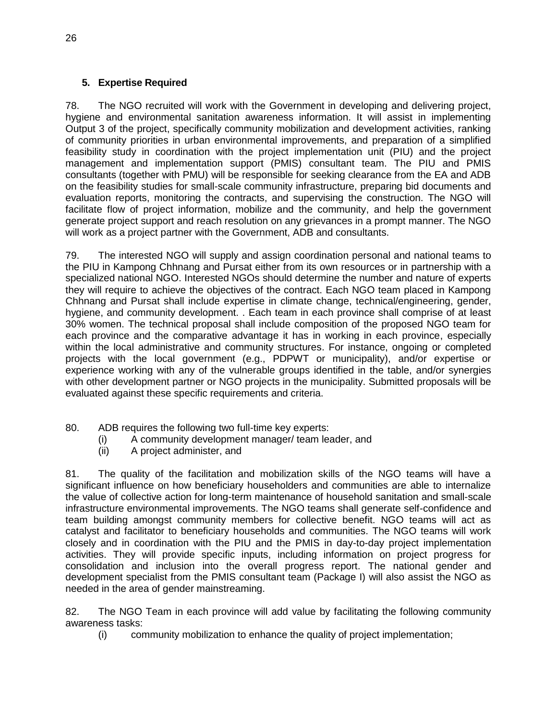## **5. Expertise Required**

78. The NGO recruited will work with the Government in developing and delivering project, hygiene and environmental sanitation awareness information. It will assist in implementing Output 3 of the project, specifically community mobilization and development activities, ranking of community priorities in urban environmental improvements, and preparation of a simplified feasibility study in coordination with the project implementation unit (PIU) and the project management and implementation support (PMIS) consultant team. The PIU and PMIS consultants (together with PMU) will be responsible for seeking clearance from the EA and ADB on the feasibility studies for small-scale community infrastructure, preparing bid documents and evaluation reports, monitoring the contracts, and supervising the construction. The NGO will facilitate flow of project information, mobilize and the community, and help the government generate project support and reach resolution on any grievances in a prompt manner. The NGO will work as a project partner with the Government, ADB and consultants.

79. The interested NGO will supply and assign coordination personal and national teams to the PIU in Kampong Chhnang and Pursat either from its own resources or in partnership with a specialized national NGO. Interested NGOs should determine the number and nature of experts they will require to achieve the objectives of the contract. Each NGO team placed in Kampong Chhnang and Pursat shall include expertise in climate change, technical/engineering, gender, hygiene, and community development. . Each team in each province shall comprise of at least 30% women. The technical proposal shall include composition of the proposed NGO team for each province and the comparative advantage it has in working in each province, especially within the local administrative and community structures. For instance, ongoing or completed projects with the local government (e.g., PDPWT or municipality), and/or expertise or experience working with any of the vulnerable groups identified in the table, and/or synergies with other development partner or NGO projects in the municipality. Submitted proposals will be evaluated against these specific requirements and criteria.

- 80. ADB requires the following two full-time key experts:
	- (i) A community development manager/ team leader, and
	- (ii) A project administer, and

81. The quality of the facilitation and mobilization skills of the NGO teams will have a significant influence on how beneficiary householders and communities are able to internalize the value of collective action for long-term maintenance of household sanitation and small-scale infrastructure environmental improvements. The NGO teams shall generate self-confidence and team building amongst community members for collective benefit. NGO teams will act as catalyst and facilitator to beneficiary households and communities. The NGO teams will work closely and in coordination with the PIU and the PMIS in day-to-day project implementation activities. They will provide specific inputs, including information on project progress for consolidation and inclusion into the overall progress report. The national gender and development specialist from the PMIS consultant team (Package I) will also assist the NGO as needed in the area of gender mainstreaming.

82. The NGO Team in each province will add value by facilitating the following community awareness tasks:

(i) community mobilization to enhance the quality of project implementation;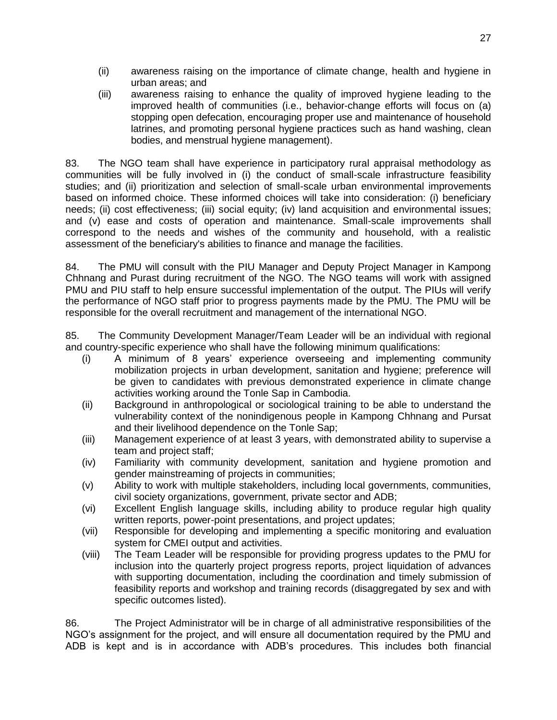- (ii) awareness raising on the importance of climate change, health and hygiene in urban areas; and
- (iii) awareness raising to enhance the quality of improved hygiene leading to the improved health of communities (i.e., behavior-change efforts will focus on (a) stopping open defecation, encouraging proper use and maintenance of household latrines, and promoting personal hygiene practices such as hand washing, clean bodies, and menstrual hygiene management).

83. The NGO team shall have experience in participatory rural appraisal methodology as communities will be fully involved in (i) the conduct of small-scale infrastructure feasibility studies; and (ii) prioritization and selection of small-scale urban environmental improvements based on informed choice. These informed choices will take into consideration: (i) beneficiary needs; (ii) cost effectiveness; (iii) social equity; (iv) land acquisition and environmental issues; and (v) ease and costs of operation and maintenance. Small-scale improvements shall correspond to the needs and wishes of the community and household, with a realistic assessment of the beneficiary's abilities to finance and manage the facilities.

84. The PMU will consult with the PIU Manager and Deputy Project Manager in Kampong Chhnang and Purast during recruitment of the NGO. The NGO teams will work with assigned PMU and PIU staff to help ensure successful implementation of the output. The PIUs will verify the performance of NGO staff prior to progress payments made by the PMU. The PMU will be responsible for the overall recruitment and management of the international NGO.

85. The Community Development Manager/Team Leader will be an individual with regional and country-specific experience who shall have the following minimum qualifications:

- (i) A minimum of 8 years' experience overseeing and implementing community mobilization projects in urban development, sanitation and hygiene; preference will be given to candidates with previous demonstrated experience in climate change activities working around the Tonle Sap in Cambodia.
- (ii) Background in anthropological or sociological training to be able to understand the vulnerability context of the nonindigenous people in Kampong Chhnang and Pursat and their livelihood dependence on the Tonle Sap;
- (iii) Management experience of at least 3 years, with demonstrated ability to supervise a team and project staff;
- (iv) Familiarity with community development, sanitation and hygiene promotion and gender mainstreaming of projects in communities;
- (v) Ability to work with multiple stakeholders, including local governments, communities, civil society organizations, government, private sector and ADB;
- (vi) Excellent English language skills, including ability to produce regular high quality written reports, power-point presentations, and project updates;
- (vii) Responsible for developing and implementing a specific monitoring and evaluation system for CMEI output and activities.
- (viii) The Team Leader will be responsible for providing progress updates to the PMU for inclusion into the quarterly project progress reports, project liquidation of advances with supporting documentation, including the coordination and timely submission of feasibility reports and workshop and training records (disaggregated by sex and with specific outcomes listed).

86. The Project Administrator will be in charge of all administrative responsibilities of the NGO's assignment for the project, and will ensure all documentation required by the PMU and ADB is kept and is in accordance with ADB's procedures. This includes both financial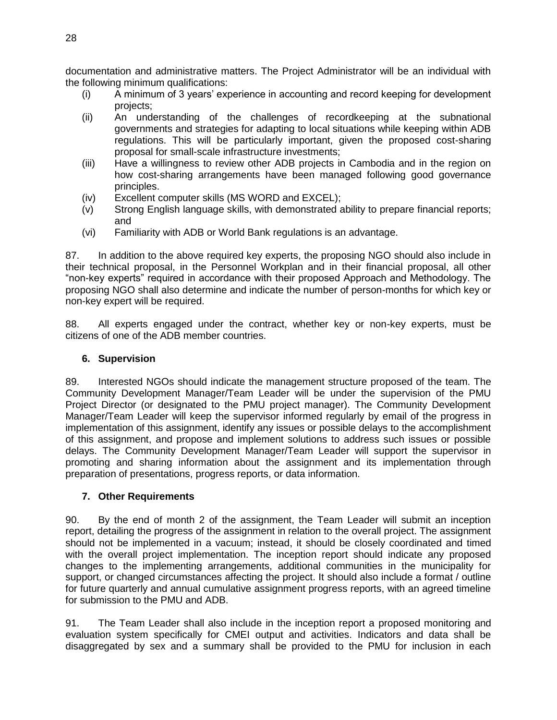documentation and administrative matters. The Project Administrator will be an individual with the following minimum qualifications:

- (i) A minimum of 3 years' experience in accounting and record keeping for development projects;
- (ii) An understanding of the challenges of recordkeeping at the subnational governments and strategies for adapting to local situations while keeping within ADB regulations. This will be particularly important, given the proposed cost-sharing proposal for small-scale infrastructure investments;
- (iii) Have a willingness to review other ADB projects in Cambodia and in the region on how cost-sharing arrangements have been managed following good governance principles.
- (iv) Excellent computer skills (MS WORD and EXCEL);
- (v) Strong English language skills, with demonstrated ability to prepare financial reports; and
- (vi) Familiarity with ADB or World Bank regulations is an advantage.

87. In addition to the above required key experts, the proposing NGO should also include in their technical proposal, in the Personnel Workplan and in their financial proposal, all other "non-key experts" required in accordance with their proposed Approach and Methodology. The proposing NGO shall also determine and indicate the number of person-months for which key or non-key expert will be required.

88. All experts engaged under the contract, whether key or non-key experts, must be citizens of one of the ADB member countries.

### **6. Supervision**

89. Interested NGOs should indicate the management structure proposed of the team. The Community Development Manager/Team Leader will be under the supervision of the PMU Project Director (or designated to the PMU project manager). The Community Development Manager/Team Leader will keep the supervisor informed regularly by email of the progress in implementation of this assignment, identify any issues or possible delays to the accomplishment of this assignment, and propose and implement solutions to address such issues or possible delays. The Community Development Manager/Team Leader will support the supervisor in promoting and sharing information about the assignment and its implementation through preparation of presentations, progress reports, or data information.

### **7. Other Requirements**

90. By the end of month 2 of the assignment, the Team Leader will submit an inception report, detailing the progress of the assignment in relation to the overall project. The assignment should not be implemented in a vacuum; instead, it should be closely coordinated and timed with the overall project implementation. The inception report should indicate any proposed changes to the implementing arrangements, additional communities in the municipality for support, or changed circumstances affecting the project. It should also include a format / outline for future quarterly and annual cumulative assignment progress reports, with an agreed timeline for submission to the PMU and ADB.

91. The Team Leader shall also include in the inception report a proposed monitoring and evaluation system specifically for CMEI output and activities. Indicators and data shall be disaggregated by sex and a summary shall be provided to the PMU for inclusion in each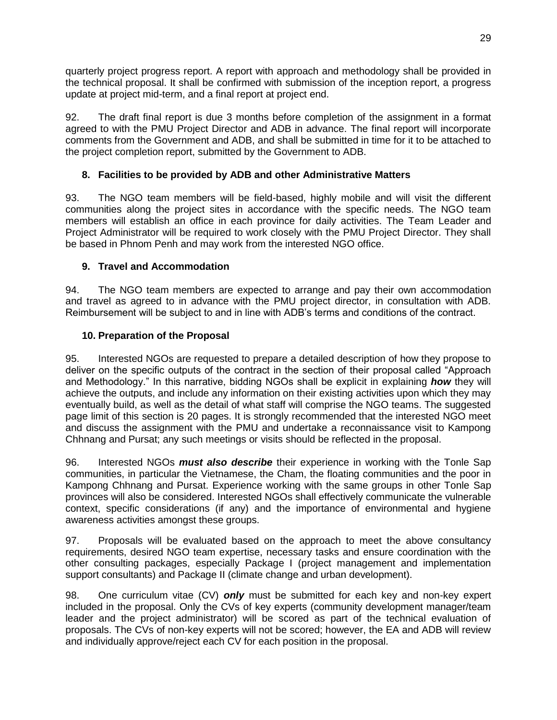quarterly project progress report. A report with approach and methodology shall be provided in the technical proposal. It shall be confirmed with submission of the inception report, a progress update at project mid-term, and a final report at project end.

92. The draft final report is due 3 months before completion of the assignment in a format agreed to with the PMU Project Director and ADB in advance. The final report will incorporate comments from the Government and ADB, and shall be submitted in time for it to be attached to the project completion report, submitted by the Government to ADB.

## **8. Facilities to be provided by ADB and other Administrative Matters**

93. The NGO team members will be field-based, highly mobile and will visit the different communities along the project sites in accordance with the specific needs. The NGO team members will establish an office in each province for daily activities. The Team Leader and Project Administrator will be required to work closely with the PMU Project Director. They shall be based in Phnom Penh and may work from the interested NGO office.

## **9. Travel and Accommodation**

94. The NGO team members are expected to arrange and pay their own accommodation and travel as agreed to in advance with the PMU project director, in consultation with ADB. Reimbursement will be subject to and in line with ADB's terms and conditions of the contract.

## **10. Preparation of the Proposal**

95. Interested NGOs are requested to prepare a detailed description of how they propose to deliver on the specific outputs of the contract in the section of their proposal called "Approach and Methodology." In this narrative, bidding NGOs shall be explicit in explaining *how* they will achieve the outputs, and include any information on their existing activities upon which they may eventually build, as well as the detail of what staff will comprise the NGO teams. The suggested page limit of this section is 20 pages. It is strongly recommended that the interested NGO meet and discuss the assignment with the PMU and undertake a reconnaissance visit to Kampong Chhnang and Pursat; any such meetings or visits should be reflected in the proposal.

96. Interested NGOs *must also describe* their experience in working with the Tonle Sap communities, in particular the Vietnamese, the Cham, the floating communities and the poor in Kampong Chhnang and Pursat. Experience working with the same groups in other Tonle Sap provinces will also be considered. Interested NGOs shall effectively communicate the vulnerable context, specific considerations (if any) and the importance of environmental and hygiene awareness activities amongst these groups.

97. Proposals will be evaluated based on the approach to meet the above consultancy requirements, desired NGO team expertise, necessary tasks and ensure coordination with the other consulting packages, especially Package I (project management and implementation support consultants) and Package II (climate change and urban development).

98. One curriculum vitae (CV) *only* must be submitted for each key and non-key expert included in the proposal. Only the CVs of key experts (community development manager/team leader and the project administrator) will be scored as part of the technical evaluation of proposals. The CVs of non-key experts will not be scored; however, the EA and ADB will review and individually approve/reject each CV for each position in the proposal.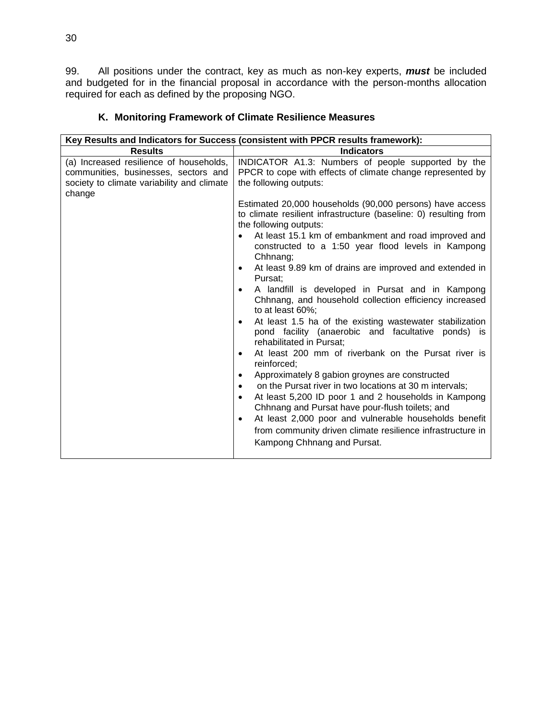99. All positions under the contract, key as much as non-key experts, *must* be included and budgeted for in the financial proposal in accordance with the person-months allocation required for each as defined by the proposing NGO.

|                                                                                                                                         | Key Results and Indicators for Success (consistent with PPCR results framework):                                                                                                                                                                                                                                                                                                                                                                                                                                                                                                                                                                                                                                                                                                                                                                                                                           |
|-----------------------------------------------------------------------------------------------------------------------------------------|------------------------------------------------------------------------------------------------------------------------------------------------------------------------------------------------------------------------------------------------------------------------------------------------------------------------------------------------------------------------------------------------------------------------------------------------------------------------------------------------------------------------------------------------------------------------------------------------------------------------------------------------------------------------------------------------------------------------------------------------------------------------------------------------------------------------------------------------------------------------------------------------------------|
| <b>Results</b>                                                                                                                          | <b>Indicators</b>                                                                                                                                                                                                                                                                                                                                                                                                                                                                                                                                                                                                                                                                                                                                                                                                                                                                                          |
| (a) Increased resilience of households,<br>communities, businesses, sectors and<br>society to climate variability and climate<br>change | INDICATOR A1.3: Numbers of people supported by the<br>PPCR to cope with effects of climate change represented by<br>the following outputs:<br>Estimated 20,000 households (90,000 persons) have access<br>to climate resilient infrastructure (baseline: 0) resulting from<br>the following outputs:<br>At least 15.1 km of embankment and road improved and<br>$\bullet$<br>constructed to a 1:50 year flood levels in Kampong                                                                                                                                                                                                                                                                                                                                                                                                                                                                            |
|                                                                                                                                         | Chhnang;<br>At least 9.89 km of drains are improved and extended in<br>$\bullet$<br>Pursat;<br>A landfill is developed in Pursat and in Kampong<br>$\bullet$<br>Chhnang, and household collection efficiency increased<br>to at least 60%;<br>At least 1.5 ha of the existing wastewater stabilization<br>$\bullet$<br>pond facility (anaerobic and facultative ponds) is<br>rehabilitated in Pursat:<br>At least 200 mm of riverbank on the Pursat river is<br>$\bullet$<br>reinforced;<br>Approximately 8 gabion groynes are constructed<br>٠<br>on the Pursat river in two locations at 30 m intervals;<br>٠<br>At least 5,200 ID poor 1 and 2 households in Kampong<br>$\bullet$<br>Chhnang and Pursat have pour-flush toilets; and<br>At least 2,000 poor and vulnerable households benefit<br>$\bullet$<br>from community driven climate resilience infrastructure in<br>Kampong Chhnang and Pursat. |

# **K. Monitoring Framework of Climate Resilience Measures**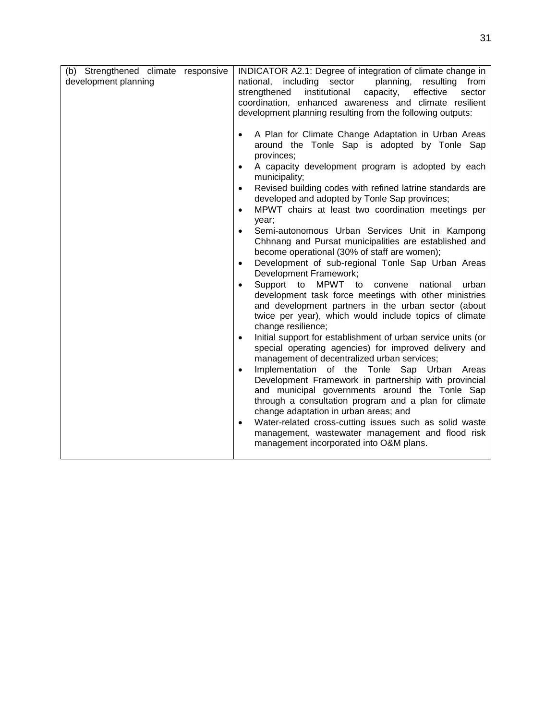| (b) Strengthened climate responsive<br>development planning | INDICATOR A2.1: Degree of integration of climate change in<br>including sector<br>planning,<br>national,<br>resulting<br>from<br>strengthened<br>institutional<br>capacity,<br>effective<br>sector<br>coordination, enhanced awareness and climate resilient<br>development planning resulting from the following outputs:                                                                                                                                                                                                                                                                                                                                                                                                                                                                                                                                                                                                                                                                                                                                                                                                                                                                                                                                                                                                                                                                                                                                                                                                                                    |
|-------------------------------------------------------------|---------------------------------------------------------------------------------------------------------------------------------------------------------------------------------------------------------------------------------------------------------------------------------------------------------------------------------------------------------------------------------------------------------------------------------------------------------------------------------------------------------------------------------------------------------------------------------------------------------------------------------------------------------------------------------------------------------------------------------------------------------------------------------------------------------------------------------------------------------------------------------------------------------------------------------------------------------------------------------------------------------------------------------------------------------------------------------------------------------------------------------------------------------------------------------------------------------------------------------------------------------------------------------------------------------------------------------------------------------------------------------------------------------------------------------------------------------------------------------------------------------------------------------------------------------------|
|                                                             | A Plan for Climate Change Adaptation in Urban Areas<br>$\bullet$<br>around the Tonle Sap is adopted by Tonle Sap<br>provinces;<br>A capacity development program is adopted by each<br>$\bullet$<br>municipality;<br>Revised building codes with refined latrine standards are<br>$\bullet$<br>developed and adopted by Tonle Sap provinces;<br>MPWT chairs at least two coordination meetings per<br>$\bullet$<br>year;<br>Semi-autonomous Urban Services Unit in Kampong<br>$\bullet$<br>Chhnang and Pursat municipalities are established and<br>become operational (30% of staff are women);<br>Development of sub-regional Tonle Sap Urban Areas<br>$\bullet$<br>Development Framework;<br>MPWT to<br>Support to<br>convene<br>national<br>urban<br>$\bullet$<br>development task force meetings with other ministries<br>and development partners in the urban sector (about<br>twice per year), which would include topics of climate<br>change resilience;<br>Initial support for establishment of urban service units (or<br>$\bullet$<br>special operating agencies) for improved delivery and<br>management of decentralized urban services;<br>Implementation of the Tonle Sap Urban<br>Areas<br>$\bullet$<br>Development Framework in partnership with provincial<br>and municipal governments around the Tonle Sap<br>through a consultation program and a plan for climate<br>change adaptation in urban areas; and<br>Water-related cross-cutting issues such as solid waste<br>$\bullet$<br>management, wastewater management and flood risk |
|                                                             | management incorporated into O&M plans.                                                                                                                                                                                                                                                                                                                                                                                                                                                                                                                                                                                                                                                                                                                                                                                                                                                                                                                                                                                                                                                                                                                                                                                                                                                                                                                                                                                                                                                                                                                       |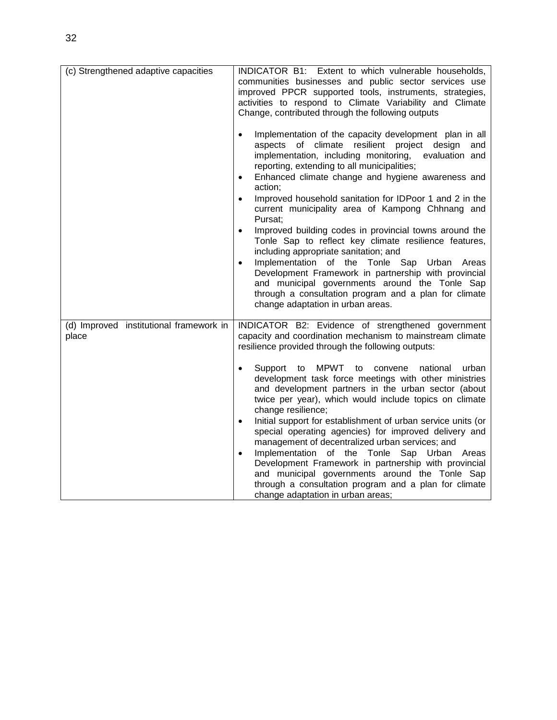| (c) Strengthened adaptive capacities             | INDICATOR B1: Extent to which vulnerable households,<br>communities businesses and public sector services use<br>improved PPCR supported tools, instruments, strategies,<br>activities to respond to Climate Variability and Climate<br>Change, contributed through the following outputs<br>Implementation of the capacity development plan in all<br>of climate resilient project design<br>aspects<br>and<br>implementation, including monitoring,<br>evaluation and<br>reporting, extending to all municipalities;<br>Enhanced climate change and hygiene awareness and<br>$\bullet$<br>action;<br>Improved household sanitation for IDPoor 1 and 2 in the<br>$\bullet$<br>current municipality area of Kampong Chhnang and<br>Pursat;<br>Improved building codes in provincial towns around the<br>$\bullet$<br>Tonle Sap to reflect key climate resilience features,<br>including appropriate sanitation; and<br>Implementation of the Tonle Sap Urban<br>Areas<br>$\bullet$<br>Development Framework in partnership with provincial<br>and municipal governments around the Tonle Sap<br>through a consultation program and a plan for climate<br>change adaptation in urban areas. |
|--------------------------------------------------|--------------------------------------------------------------------------------------------------------------------------------------------------------------------------------------------------------------------------------------------------------------------------------------------------------------------------------------------------------------------------------------------------------------------------------------------------------------------------------------------------------------------------------------------------------------------------------------------------------------------------------------------------------------------------------------------------------------------------------------------------------------------------------------------------------------------------------------------------------------------------------------------------------------------------------------------------------------------------------------------------------------------------------------------------------------------------------------------------------------------------------------------------------------------------------------------|
| (d) Improved institutional framework in<br>place | INDICATOR B2: Evidence of strengthened government<br>capacity and coordination mechanism to mainstream climate<br>resilience provided through the following outputs:<br>Support<br>MPWT.<br>national<br>to<br>to<br>convene<br>urban<br>$\bullet$<br>development task force meetings with other ministries<br>and development partners in the urban sector (about<br>twice per year), which would include topics on climate<br>change resilience;<br>Initial support for establishment of urban service units (or<br>$\bullet$<br>special operating agencies) for improved delivery and<br>management of decentralized urban services; and<br>Implementation of the Tonle Sap Urban<br>Areas<br>$\bullet$<br>Development Framework in partnership with provincial<br>and municipal governments around the Tonle Sap<br>through a consultation program and a plan for climate<br>change adaptation in urban areas;                                                                                                                                                                                                                                                                          |